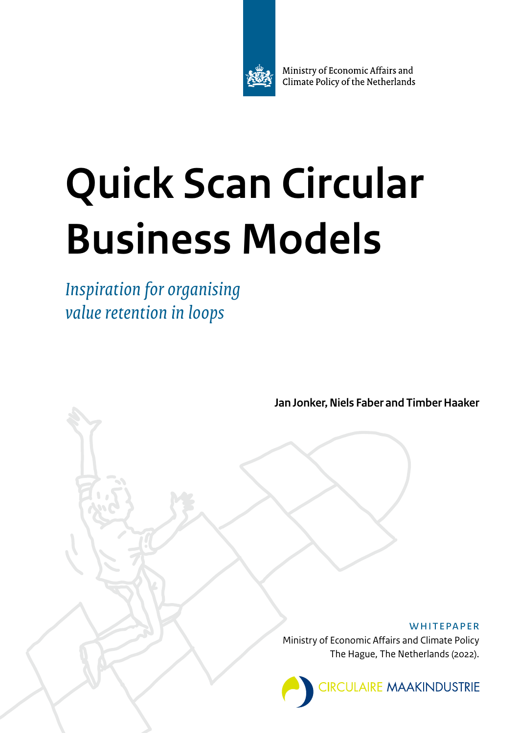

Ministry of Economic Affairs and Climate Policy of the Netherlands

# **Quick Scan Circular Business Models**

*Inspiration for organising value retention in loops*

**Jan Jonker, Niels Faber and Timber Haaker**

**WHITFPAPFR** Ministry of Economic Affairs and Climate Policy The Hague, The Netherlands (2022).

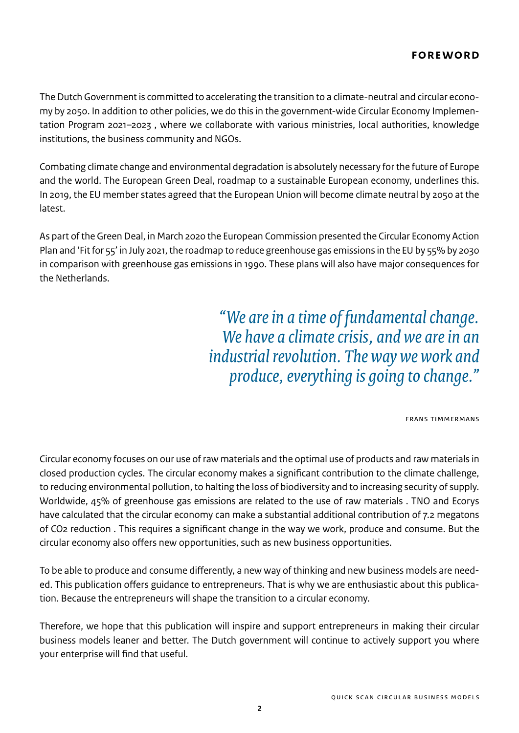<span id="page-1-0"></span>The Dutch Government is committed to accelerating the transition to a climate-neutral and circular economy by 2050. In addition to other policies, we do this in the government-wide Circular Economy Implementation Program 2021–2023 , where we collaborate with various ministries, local authorities, knowledge institutions, the business community and NGOs.

Combating climate change and environmental degradation is absolutely necessary for the future of Europe and the world. The European Green Deal, roadmap to a sustainable European economy, underlines this. In 2019, the EU member states agreed that the European Union will become climate neutral by 2050 at the latest.

As part of the Green Deal, in March 2020 the European Commission presented the Circular Economy Action Plan and 'Fit for 55' in July 2021, the roadmap to reduce greenhouse gas emissions in the EU by 55% by 2030 in comparison with greenhouse gas emissions in 1990. These plans will also have major consequences for the Netherlands.

> *"We are in a time of fundamental change. We have a climate crisis, and we are in an industrial revolution. The way we work and produce, everything is going to change."*

> > Frans Timmermans

Circular economy focuses on our use of raw materials and the optimal use of products and raw materials in closed production cycles. The circular economy makes a significant contribution to the climate challenge, to reducing environmental pollution, to halting the loss of biodiversity and to increasing security of supply. Worldwide, 45% of greenhouse gas emissions are related to the use of raw materials . TNO and Ecorys have calculated that the circular economy can make a substantial additional contribution of 7.2 megatons of CO2 reduction . This requires a significant change in the way we work, produce and consume. But the circular economy also offers new opportunities, such as new business opportunities.

To be able to produce and consume differently, a new way of thinking and new business models are needed. This publication offers guidance to entrepreneurs. That is why we are enthusiastic about this publication. Because the entrepreneurs will shape the transition to a circular economy.

Therefore, we hope that this publication will inspire and support entrepreneurs in making their circular business models leaner and better. The Dutch government will continue to actively support you where your enterprise will find that useful.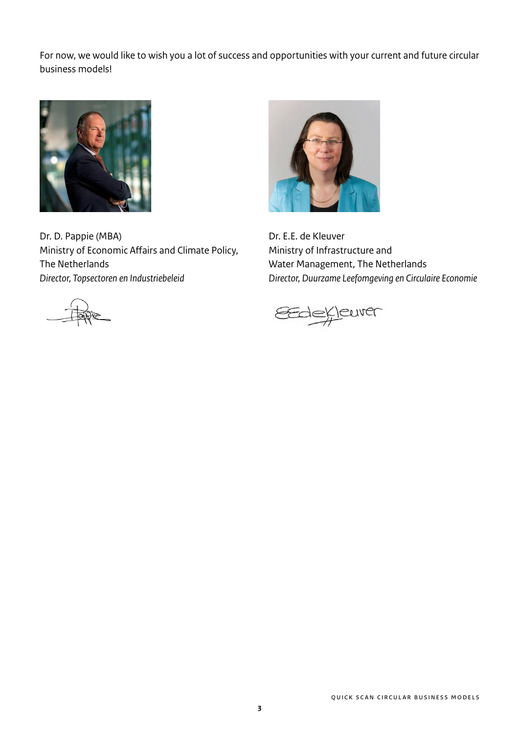For now, we would like to wish you a lot of success and opportunities with your current and future circular business models!



Dr. D. Pappie (MBA) Ministry of Economic Affairs and Climate Policy, The Netherlands *Director, Topsectoren en Industriebeleid*



Dr. E.E. de Kleuver Ministry of Infrastructure and Water Management, The Netherlands *Director, Duurzame Leefomgeving en Circulaire Economie*

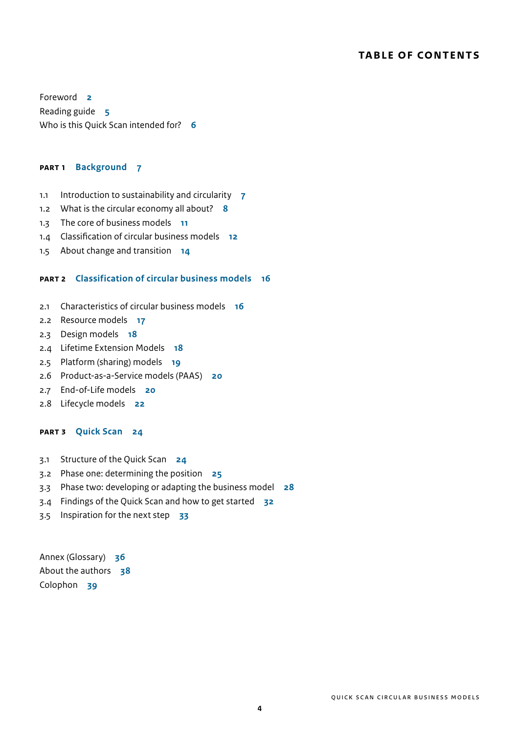## **TABLE OF CONTENTS**

[Foreword](#page-1-0) **2** [Reading guide](#page-4-0) **5** [Who is this Quick Scan intended for?](#page-5-0) **6**

## **Part 1 [Background](#page-6-0) 7**

- 1.1 [Introduction to sustainability and circularity](#page-6-0) **7**
- 1.2 [What is the circular economy all about?](#page-7-0) **8**
- 1.3 [The core of business models](#page-10-0) **11**
- 1.4 [Classification of circular business models](#page-11-0) **12**
- 1.5 [About change and transition](#page-13-0) **14**

#### **Part 2 [Classification of circular business models](#page-15-0) 16**

- 2.1 [Characteristics of circular business models](#page-15-0) **16**
- 2.2 [Resource models](#page-16-0) **17**
- 2.3 [Design models](#page-17-0) **18**
- 2.4 [Lifetime Extension Models](#page-17-0) **18**
- 2.5 [Platform \(sharing\) models](#page-18-0) **19**
- 2.6 [Product-as-a-Service models \(PAAS\)](#page-19-0) **20**
- 2.7 [End-of-Life models](#page-19-0) **20**
- 2.8 [Lifecycle models](#page-21-0) **22**

#### **Part 3 [Quick Scan](#page-23-0) 24**

- 3.1 [Structure of the Quick Scan](#page-23-0) **24**
- 3.2 [Phase one: determining the position](#page-24-0) **25**
- 3.3 [Phase two: developing or adapting the business model](#page-27-0) **28**
- 3.4 [Findings of the Quick Scan and how to get started](#page-31-0) **32**
- 3.5 [Inspiration for the next step](#page-32-0) **33**

[Annex \(Glossary\)](#page-35-0) **36** [About the authors](#page-37-0) **38** [Colophon](#page-38-0) **39**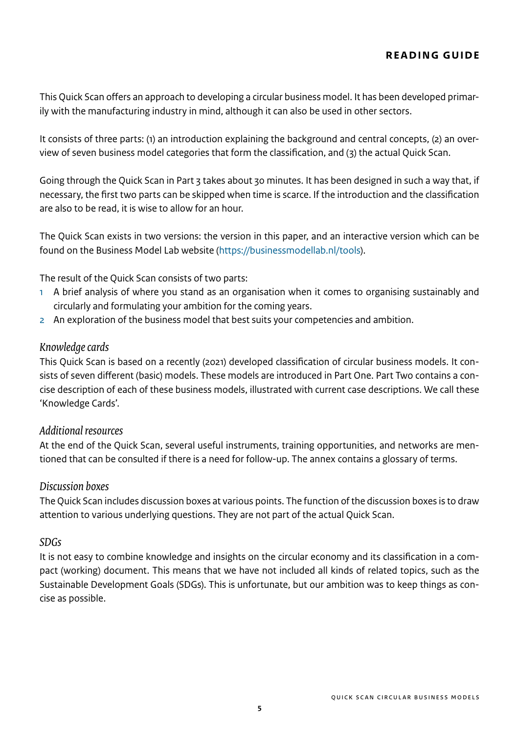## **Reading guide**

<span id="page-4-0"></span>This Quick Scan offers an approach to developing a circular business model. It has been developed primarily with the manufacturing industry in mind, although it can also be used in other sectors.

It consists of three parts: (1) an introduction explaining the background and central concepts, (2) an overview of seven business model categories that form the classification, and (3) the actual Quick Scan.

Going through the Quick Scan in Part 3 takes about 30 minutes. It has been designed in such a way that, if necessary, the first two parts can be skipped when time is scarce. If the introduction and the classification are also to be read, it is wise to allow for an hour.

The Quick Scan exists in two versions: the version in this paper, and an interactive version which can be found on the Business Model Lab website [\(https://businessmodellab.nl/tools](https://businessmodellab.nl/tools)).

The result of the Quick Scan consists of two parts:

- 1 A brief analysis of where you stand as an organisation when it comes to organising sustainably and circularly and formulating your ambition for the coming years.
- 2 An exploration of the business model that best suits your competencies and ambition.

## *Knowledge cards*

This Quick Scan is based on a recently (2021) developed classification of circular business models. It consists of seven different (basic) models. These models are introduced in Part One. Part Two contains a concise description of each of these business models, illustrated with current case descriptions. We call these 'Knowledge Cards'.

## *Additional resources*

At the end of the Quick Scan, several useful instruments, training opportunities, and networks are mentioned that can be consulted if there is a need for follow-up. The annex contains a glossary of terms.

## *Discussion boxes*

The Quick Scan includes discussion boxes at various points. The function of the discussion boxes is to draw attention to various underlying questions. They are not part of the actual Quick Scan.

## *SDGs*

It is not easy to combine knowledge and insights on the circular economy and its classification in a compact (working) document. This means that we have not included all kinds of related topics, such as the Sustainable Development Goals (SDGs). This is unfortunate, but our ambition was to keep things as concise as possible.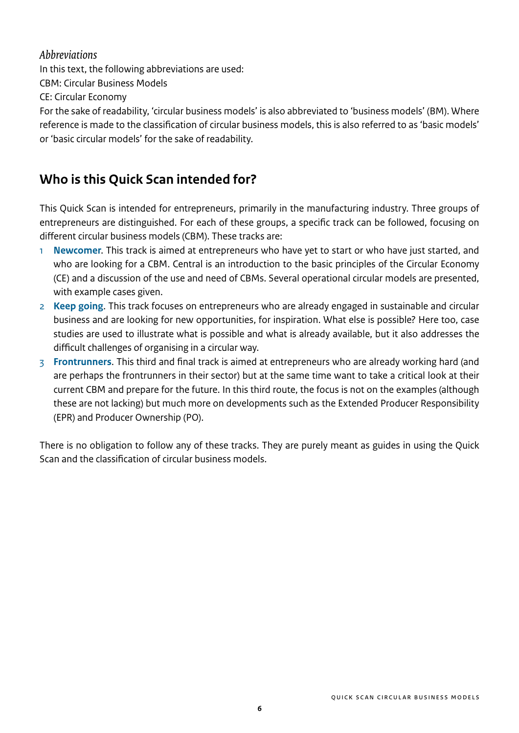## <span id="page-5-0"></span>*Abbreviations* In this text, the following abbreviations are used: CBM: Circular Business Models CE: Circular Economy For the sake of readability, 'circular business models' is also abbreviated to 'business models' (BM). Where reference is made to the classification of circular business models, this is also referred to as 'basic models' or 'basic circular models' for the sake of readability.

## **Who is this Quick Scan intended for?**

This Quick Scan is intended for entrepreneurs, primarily in the manufacturing industry. Three groups of entrepreneurs are distinguished. For each of these groups, a specific track can be followed, focusing on different circular business models (CBM). These tracks are:

- 1 **Newcomer**. This track is aimed at entrepreneurs who have yet to start or who have just started, and who are looking for a CBM. Central is an introduction to the basic principles of the Circular Economy (CE) and a discussion of the use and need of CBMs. Several operational circular models are presented, with example cases given.
- 2 **Keep going**. This track focuses on entrepreneurs who are already engaged in sustainable and circular business and are looking for new opportunities, for inspiration. What else is possible? Here too, case studies are used to illustrate what is possible and what is already available, but it also addresses the difficult challenges of organising in a circular way.
- 3 **Frontrunners**. This third and final track is aimed at entrepreneurs who are already working hard (and are perhaps the frontrunners in their sector) but at the same time want to take a critical look at their current CBM and prepare for the future. In this third route, the focus is not on the examples (although these are not lacking) but much more on developments such as the Extended Producer Responsibility (EPR) and Producer Ownership (PO).

There is no obligation to follow any of these tracks. They are purely meant as guides in using the Quick Scan and the classification of circular business models.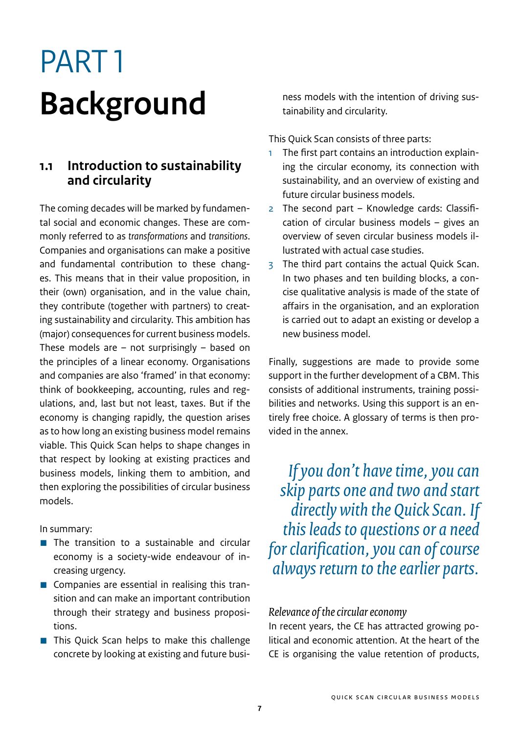## <span id="page-6-0"></span>PART 1 **Background**

## **1.1 Introduction to sustainability and circularity**

The coming decades will be marked by fundamental social and economic changes. These are commonly referred to as *transformations* and *transitions*. Companies and organisations can make a positive and fundamental contribution to these changes. This means that in their value proposition, in their (own) organisation, and in the value chain, they contribute (together with partners) to creating sustainability and circularity. This ambition has (major) consequences for current business models. These models are – not surprisingly – based on the principles of a linear economy. Organisations and companies are also 'framed' in that economy: think of bookkeeping, accounting, rules and regulations, and, last but not least, taxes. But if the economy is changing rapidly, the question arises as to how long an existing business model remains viable. This Quick Scan helps to shape changes in that respect by looking at existing practices and business models, linking them to ambition, and then exploring the possibilities of circular business models.

In summary:

- The transition to a sustainable and circular economy is a society-wide endeavour of increasing urgency.
- Companies are essential in realising this transition and can make an important contribution through their strategy and business propositions.
- This Quick Scan helps to make this challenge concrete by looking at existing and future busi-

ness models with the intention of driving sustainability and circularity.

This Quick Scan consists of three parts:

- 1 The first part contains an introduction explaining the circular economy, its connection with sustainability, and an overview of existing and future circular business models.
- 2 The second part Knowledge cards: Classification of circular business models – gives an overview of seven circular business models illustrated with actual case studies.
- 3 The third part contains the actual Quick Scan. In two phases and ten building blocks, a concise qualitative analysis is made of the state of affairs in the organisation, and an exploration is carried out to adapt an existing or develop a new business model.

Finally, suggestions are made to provide some support in the further development of a CBM. This consists of additional instruments, training possibilities and networks. Using this support is an entirely free choice. A glossary of terms is then provided in the annex.

*If you don't have time, you can skip parts one and two and start directly with the Quick Scan. If this leads to questions or a need for clarification, you can of course always return to the earlier parts.*

## *Relevance of the circular economy*

In recent years, the CE has attracted growing political and economic attention. At the heart of the CE is organising the value retention of products,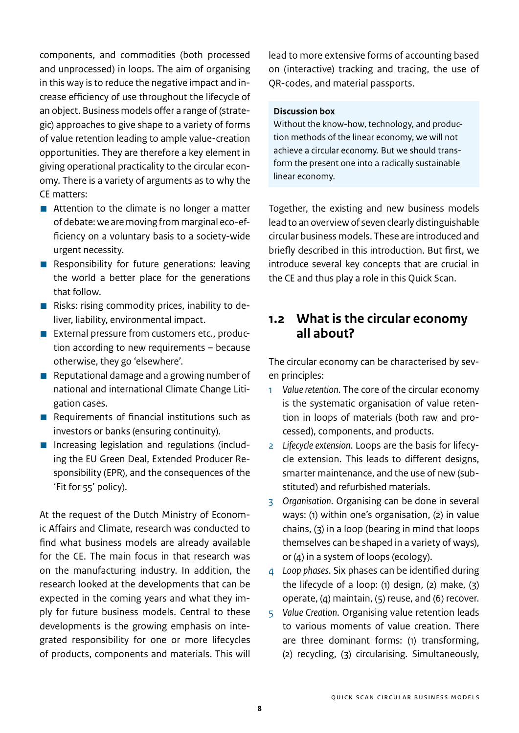<span id="page-7-0"></span>components, and commodities (both processed and unprocessed) in loops. The aim of organising in this way is to reduce the negative impact and increase efficiency of use throughout the lifecycle of an object. Business models offer a range of (strategic) approaches to give shape to a variety of forms of value retention leading to ample value-creation opportunities. They are therefore a key element in giving operational practicality to the circular economy. There is a variety of arguments as to why the CE matters:

- $\blacksquare$  Attention to the climate is no longer a matter of debate: we are moving from marginal eco-efficiency on a voluntary basis to a society-wide urgent necessity.
- **E** Responsibility for future generations: leaving the world a better place for the generations that follow.
- Risks: rising commodity prices, inability to deliver, liability, environmental impact.
- External pressure from customers etc., production according to new requirements – because otherwise, they go 'elsewhere'.
- Reputational damage and a growing number of national and international Climate Change Litigation cases.
- $\blacksquare$  Requirements of financial institutions such as investors or banks (ensuring continuity).
- **E** Increasing legislation and regulations (including the EU Green Deal, Extended Producer Responsibility (EPR), and the consequences of the 'Fit for 55' policy).

At the request of the Dutch Ministry of Economic Affairs and Climate, research was conducted to find what business models are already available for the CE. The main focus in that research was on the manufacturing industry. In addition, the research looked at the developments that can be expected in the coming years and what they imply for future business models. Central to these developments is the growing emphasis on integrated responsibility for one or more lifecycles of products, components and materials. This will

lead to more extensive forms of accounting based on (interactive) tracking and tracing, the use of QR-codes, and material passports.

## **Discussion box**

Without the know-how, technology, and production methods of the linear economy, we will not achieve a circular economy. But we should transform the present one into a radically sustainable linear economy.

Together, the existing and new business models lead to an overview of seven clearly distinguishable circular business models. These are introduced and briefly described in this introduction. But first, we introduce several key concepts that are crucial in the CE and thus play a role in this Quick Scan.

## **1.2 What is the circular economy all about?**

The circular economy can be characterised by seven principles:

- 1 *Value retention*. The core of the circular economy is the systematic organisation of value retention in loops of materials (both raw and processed), components, and products.
- 2 *Lifecycle extension*. Loops are the basis for lifecycle extension. This leads to different designs, smarter maintenance, and the use of new (substituted) and refurbished materials.
- 3 *Organisation*. Organising can be done in several ways: (1) within one's organisation, (2) in value chains, (3) in a loop (bearing in mind that loops themselves can be shaped in a variety of ways), or (4) in a system of loops (ecology).
- 4 *Loop phases*. Six phases can be identified during the lifecycle of a loop:  $(1)$  design,  $(2)$  make,  $(3)$ operate, (4) maintain, (5) reuse, and (6) recover.
- 5 *Value Creation*. Organising value retention leads to various moments of value creation. There are three dominant forms: (1) transforming, (2) recycling, (3) circularising. Simultaneously,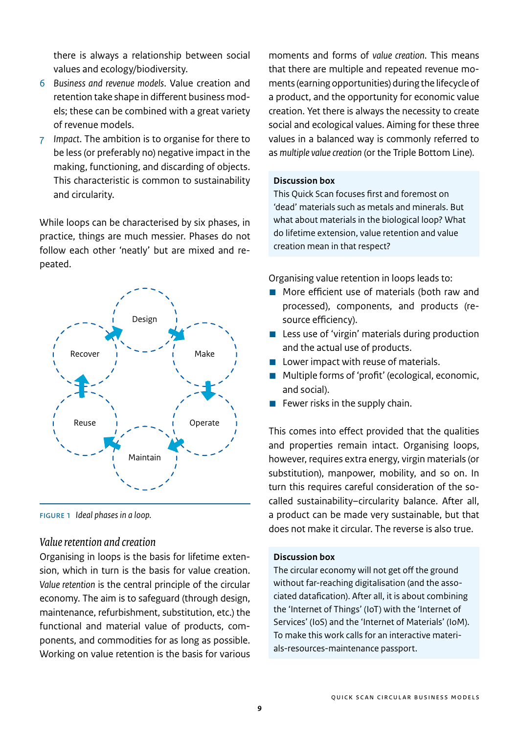there is always a relationship between social values and ecology/biodiversity.

- 6 *Business and revenue models*. Value creation and retention take shape in different business models; these can be combined with a great variety of revenue models.
- 7 *Impact*. The ambition is to organise for there to be less (or preferably no) negative impact in the making, functioning, and discarding of objects. This characteristic is common to sustainability and circularity.

While loops can be characterised by six phases, in practice, things are much messier. Phases do not follow each other 'neatly' but are mixed and repeated.



Figure 1 *Ideal phases in a loop.*

## *Value retention and creation*

Organising in loops is the basis for lifetime extension, which in turn is the basis for value creation. *Value retention* is the central principle of the circular economy. The aim is to safeguard (through design, maintenance, refurbishment, substitution, etc.) the functional and material value of products, components, and commodities for as long as possible. Working on value retention is the basis for various moments and forms of *value creation*. This means that there are multiple and repeated revenue moments (earning opportunities) during the lifecycle of a product, and the opportunity for economic value creation. Yet there is always the necessity to create social and ecological values. Aiming for these three values in a balanced way is commonly referred to as *multiple value creation* (or the Triple Bottom Line).

#### **Discussion box**

This Quick Scan focuses first and foremost on 'dead' materials such as metals and minerals. But what about materials in the biological loop? What do lifetime extension, value retention and value creation mean in that respect?

Organising value retention in loops leads to:

- More efficient use of materials (both raw and processed), components, and products (resource efficiency).
- **E** Less use of 'virgin' materials during production and the actual use of products.
- **Lower impact with reuse of materials.**
- Multiple forms of 'profit' (ecological, economic, and social).
- $\blacksquare$  Fewer risks in the supply chain.

This comes into effect provided that the qualities and properties remain intact. Organising loops, however, requires extra energy, virgin materials (or substitution), manpower, mobility, and so on. In turn this requires careful consideration of the socalled sustainability–circularity balance. After all, a product can be made very sustainable, but that does not make it circular. The reverse is also true.

## **Discussion box**

The circular economy will not get off the ground without far-reaching digitalisation (and the associated datafication). After all, it is about combining the 'Internet of Things' (IoT) with the 'Internet of Services' (IoS) and the 'Internet of Materials' (IoM). To make this work calls for an interactive materials-resources-maintenance passport.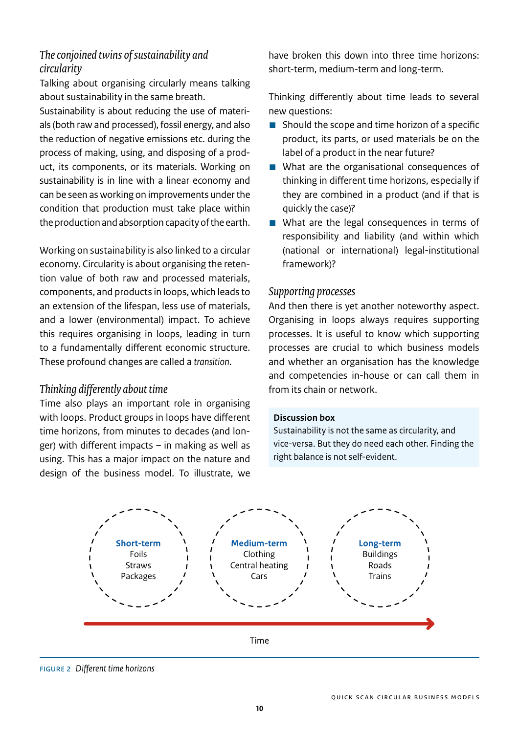## *The conjoined twins of sustainability and circularity*

Talking about organising circularly means talking about sustainability in the same breath.

Sustainability is about reducing the use of materials (both raw and processed), fossil energy, and also the reduction of negative emissions etc. during the process of making, using, and disposing of a product, its components, or its materials. Working on sustainability is in line with a linear economy and can be seen as working on improvements under the condition that production must take place within the production and absorption capacity of the earth.

Working on sustainability is also linked to a circular economy. Circularity is about organising the retention value of both raw and processed materials, components, and products in loops, which leads to an extension of the lifespan, less use of materials, and a lower (environmental) impact. To achieve this requires organising in loops, leading in turn to a fundamentally different economic structure. These profound changes are called a *transition*.

## *Thinking differently about time*

Time also plays an important role in organising with loops. Product groups in loops have different time horizons, from minutes to decades (and longer) with different impacts – in making as well as using. This has a major impact on the nature and design of the business model. To illustrate, we

have broken this down into three time horizons: short-term, medium-term and long-term.

Thinking differently about time leads to several new questions:

- $\blacksquare$  Should the scope and time horizon of a specific product, its parts, or used materials be on the label of a product in the near future?
- What are the organisational consequences of thinking in different time horizons, especially if they are combined in a product (and if that is quickly the case)?
- What are the legal consequences in terms of responsibility and liability (and within which (national or international) legal-institutional framework)?

## *Supporting processes*

And then there is yet another noteworthy aspect. Organising in loops always requires supporting processes. It is useful to know which supporting processes are crucial to which business models and whether an organisation has the knowledge and competencies in-house or can call them in from its chain or network.

## **Discussion box**

Sustainability is not the same as circularity, and vice-versa. But they do need each other. Finding the right balance is not self-evident.



Figure 2 *Different time horizons*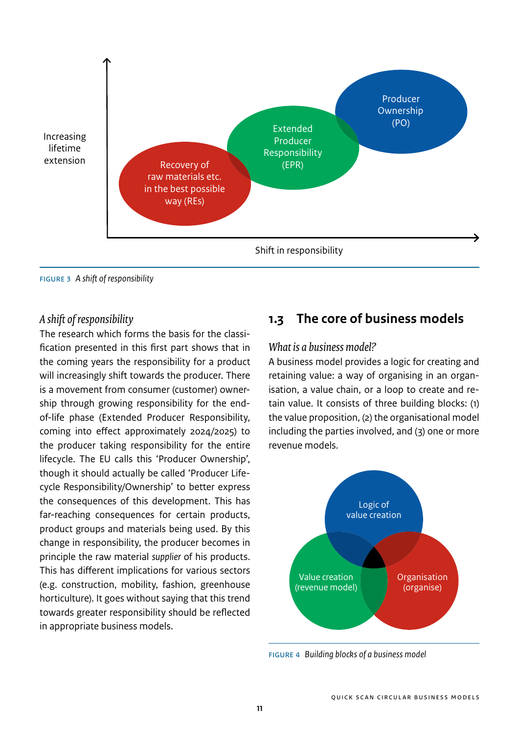<span id="page-10-0"></span>

Figure 3 *A shift of responsibility*

## *A shift of responsibility*

The research which forms the basis for the classification presented in this first part shows that in the coming years the responsibility for a product will increasingly shift towards the producer. There is a movement from consumer (customer) ownership through growing responsibility for the endof-life phase (Extended Producer Responsibility, coming into effect approximately 2024/2025) to the producer taking responsibility for the entire lifecycle. The EU calls this 'Producer Ownership', though it should actually be called 'Producer Lifecycle Responsibility/Ownership' to better express the consequences of this development. This has far-reaching consequences for certain products, product groups and materials being used. By this change in responsibility, the producer becomes in principle the raw material *supplier* of his products. This has different implications for various sectors (e.g. construction, mobility, fashion, greenhouse horticulture). It goes without saying that this trend towards greater responsibility should be reflected in appropriate business models.

## **1.3 The core of business models**

## *What is a business model?*

A business model provides a logic for creating and retaining value: a way of organising in an organisation, a value chain, or a loop to create and retain value. It consists of three building blocks: (1) the value proposition, (2) the organisational model including the parties involved, and (3) one or more revenue models.



Figure 4 *Building blocks of a business model*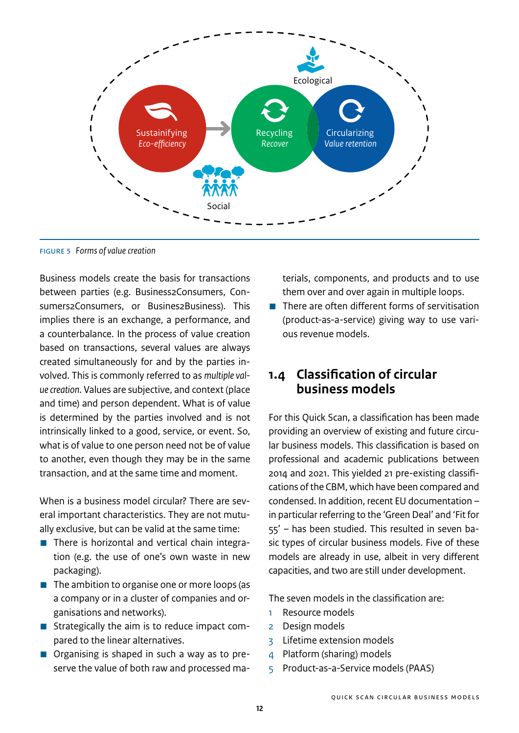<span id="page-11-0"></span>

Figure 5 *Forms of value creation*

Business models create the basis for transactions between parties (e.g. Business2Consumers, Consumers2Consumers, or Busines2Business). This implies there is an exchange, a performance, and a counterbalance. In the process of value creation based on transactions, several values are always created simultaneously for and by the parties involved. This is commonly referred to as *multiple value creation*. Values are subjective, and context (place and time) and person dependent. What is of value is determined by the parties involved and is not intrinsically linked to a good, service, or event. So, what is of value to one person need not be of value to another, even though they may be in the same transaction, and at the same time and moment.

When is a business model circular? There are several important characteristics. They are not mutually exclusive, but can be valid at the same time:

- There is horizontal and vertical chain integration (e.g. the use of one's own waste in new packaging).
- $\blacksquare$  The ambition to organise one or more loops (as a company or in a cluster of companies and organisations and networks).
- **E** Strategically the aim is to reduce impact compared to the linear alternatives.
- Organising is shaped in such a way as to preserve the value of both raw and processed ma-

terials, components, and products and to use them over and over again in multiple loops.

 $\blacksquare$  There are often different forms of servitisation (product-as-a-service) giving way to use various revenue models.

## **1.4 Classification of circular business models**

For this Quick Scan, a classification has been made providing an overview of existing and future circular business models. This classification is based on professional and academic publications between 2014 and 2021. This yielded 21 pre-existing classifications of the CBM, which have been compared and condensed. In addition, recent EU documentation – in particular referring to the 'Green Deal' and 'Fit for 55' – has been studied. This resulted in seven basic types of circular business models. Five of these models are already in use, albeit in very different capacities, and two are still under development.

The seven models in the classification are:

- 1 Resource models
- 2 Design models
- 3 Lifetime extension models
- 4 Platform (sharing) models
- 5 Product-as-a-Service models (PAAS)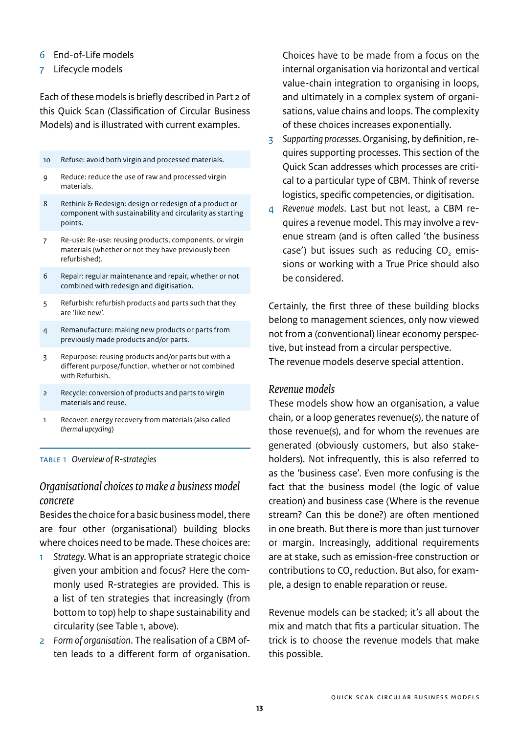## 6 End-of-Life models

7 Lifecycle models

Each of these models is briefly described in Part 2 of this Quick Scan (Classification of Circular Business Models) and is illustrated with current examples.

| 10             | Refuse: avoid both virgin and processed materials.                                                                              |
|----------------|---------------------------------------------------------------------------------------------------------------------------------|
| 9              | Reduce: reduce the use of raw and processed virgin<br>materials.                                                                |
| 8              | Rethink & Redesign: design or redesign of a product or<br>component with sustainability and circularity as starting<br>points.  |
| $\overline{7}$ | Re-use: Re-use: reusing products, components, or virgin<br>materials (whether or not they have previously been<br>refurbished). |
| 6              | Repair: regular maintenance and repair, whether or not<br>combined with redesign and digitisation.                              |
| 5              | Refurbish: refurbish products and parts such that they<br>are 'like new'.                                                       |
| $\overline{a}$ | Remanufacture: making new products or parts from<br>previously made products and/or parts.                                      |
| 3              | Repurpose: reusing products and/or parts but with a<br>different purpose/function, whether or not combined<br>with Refurbish.   |
| $\overline{2}$ | Recycle: conversion of products and parts to virgin<br>materials and reuse.                                                     |
| $\mathbf{1}$   | Recover: energy recovery from materials (also called<br>thermal upcycling)                                                      |

## table 1 *Overview of R-strategies*

## *Organisational choices to make a business model concrete*

Besides the choice for a basic business model, there are four other (organisational) building blocks where choices need to be made. These choices are:

- 1 *Strategy*. What is an appropriate strategic choice given your ambition and focus? Here the commonly used R-strategies are provided. This is a list of ten strategies that increasingly (from bottom to top) help to shape sustainability and circularity (see Table 1, above).
- 2 *Form of organisation*. The realisation of a CBM often leads to a different form of organisation.

Choices have to be made from a focus on the internal organisation via horizontal and vertical value-chain integration to organising in loops, and ultimately in a complex system of organisations, value chains and loops. The complexity of these choices increases exponentially.

- 3 *Supporting processes*. Organising, by definition, requires supporting processes. This section of the Quick Scan addresses which processes are critical to a particular type of CBM. Think of reverse logistics, specific competencies, or digitisation.
- 4 *Revenue models*. Last but not least, a CBM requires a revenue model. This may involve a revenue stream (and is often called 'the business case') but issues such as reducing CO<sub>2</sub> emissions or working with a True Price should also be considered.

Certainly, the first three of these building blocks belong to management sciences, only now viewed not from a (conventional) linear economy perspective, but instead from a circular perspective. The revenue models deserve special attention.

## *Revenue models*

These models show how an organisation, a value chain, or a loop generates revenue(s), the nature of those revenue(s), and for whom the revenues are generated (obviously customers, but also stakeholders). Not infrequently, this is also referred to as the 'business case'. Even more confusing is the fact that the business model (the logic of value creation) and business case (Where is the revenue stream? Can this be done?) are often mentioned in one breath. But there is more than just turnover or margin. Increasingly, additional requirements are at stake, such as emission-free construction or contributions to CO<sub>2</sub> reduction. But also, for example, a design to enable reparation or reuse.

Revenue models can be stacked; it's all about the mix and match that fits a particular situation. The trick is to choose the revenue models that make this possible.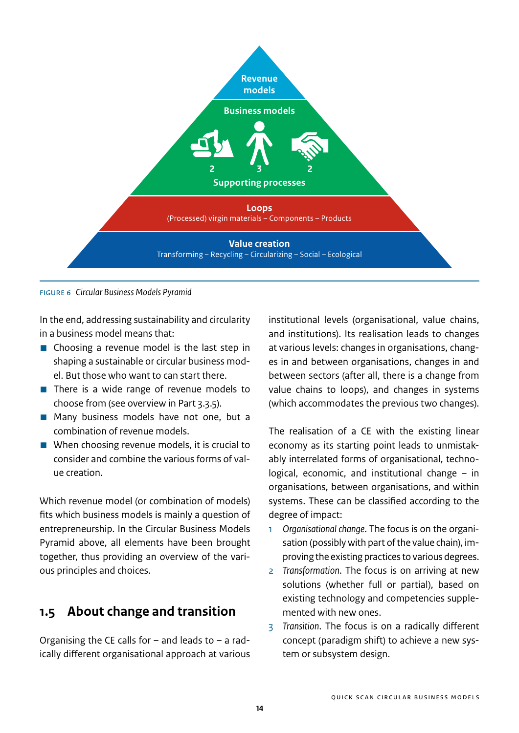<span id="page-13-0"></span>

Figure 6 *Circular Business Models Pyramid*

In the end, addressing sustainability and circularity in a business model means that:

- $\blacksquare$  Choosing a revenue model is the last step in shaping a sustainable or circular business model. But those who want to can start there.
- There is a wide range of revenue models to choose from (see overview in Part 3.3.5).
- Many business models have not one, but a combination of revenue models.
- $\blacksquare$  When choosing revenue models, it is crucial to consider and combine the various forms of value creation.

Which revenue model (or combination of models) fits which business models is mainly a question of entrepreneurship. In the Circular Business Models Pyramid above, all elements have been brought together, thus providing an overview of the various principles and choices.

## **1.5 About change and transition**

Organising the CE calls for  $-$  and leads to  $-$  a radically different organisational approach at various institutional levels (organisational, value chains, and institutions). Its realisation leads to changes at various levels: changes in organisations, changes in and between organisations, changes in and between sectors (after all, there is a change from value chains to loops), and changes in systems (which accommodates the previous two changes).

The realisation of a CE with the existing linear economy as its starting point leads to unmistakably interrelated forms of organisational, technological, economic, and institutional change – in organisations, between organisations, and within systems. These can be classified according to the degree of impact:

- 1 *Organisational change*. The focus is on the organisation (possibly with part of the value chain), improving the existing practices to various degrees.
- 2 *Transformation*. The focus is on arriving at new solutions (whether full or partial), based on existing technology and competencies supplemented with new ones.
- 3 *Transition*. The focus is on a radically different concept (paradigm shift) to achieve a new system or subsystem design.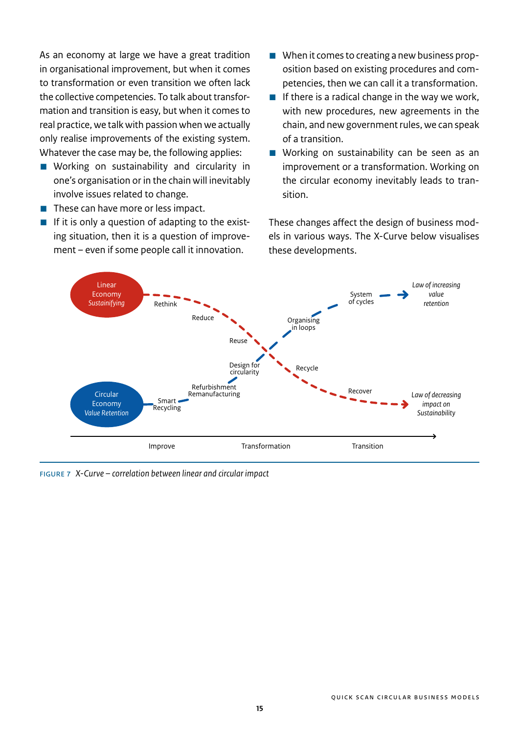As an economy at large we have a great tradition in organisational improvement, but when it comes to transformation or even transition we often lack the collective competencies. To talk about transformation and transition is easy, but when it comes to real practice, we talk with passion when we actually only realise improvements of the existing system. Whatever the case may be, the following applies:

- **E** Working on sustainability and circularity in one's organisation or in the chain will inevitably involve issues related to change.
- These can have more or less impact.
- **If it is only a question of adapting to the exist**ing situation, then it is a question of improvement – even if some people call it innovation.
- $\blacksquare$  When it comes to creating a new business proposition based on existing procedures and competencies, then we can call it a transformation.
- $\blacksquare$  If there is a radical change in the way we work, with new procedures, new agreements in the chain, and new government rules, we can speak of a transition.
- Working on sustainability can be seen as an improvement or a transformation. Working on the circular economy inevitably leads to transition.

These changes affect the design of business models in various ways. The X-Curve below visualises these developments.



Figure 7 *X-Curve – correlation between linear and circular impact*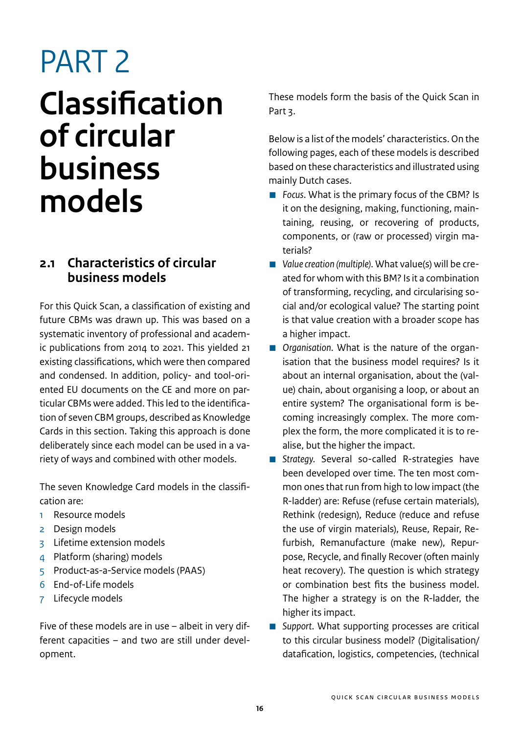## <span id="page-15-0"></span>PART 2 **Classification of circular business models**

## **2.1 Characteristics of circular business models**

For this Quick Scan, a classification of existing and future CBMs was drawn up. This was based on a systematic inventory of professional and academic publications from 2014 to 2021. This yielded 21 existing classifications, which were then compared and condensed. In addition, policy- and tool-oriented EU documents on the CE and more on particular CBMs were added. This led to the identification of seven CBM groups, described as Knowledge Cards in this section. Taking this approach is done deliberately since each model can be used in a variety of ways and combined with other models.

The seven Knowledge Card models in the classification are:

- 1 Resource models
- 2 Design models
- 3 Lifetime extension models
- 4 Platform (sharing) models
- 5 Product-as-a-Service models (PAAS)
- 6 End-of-Life models
- 7 Lifecycle models

Five of these models are in use – albeit in very different capacities – and two are still under development.

These models form the basis of the Quick Scan in Part 3.

Below is a list of the models' characteristics. On the following pages, each of these models is described based on these characteristics and illustrated using mainly Dutch cases.

- *Focus*. What is the primary focus of the CBM? Is it on the designing, making, functioning, maintaining, reusing, or recovering of products, components, or (raw or processed) virgin materials?
- *Value creation (multiple)*. What value(s) will be created for whom with this BM? Is it a combination of transforming, recycling, and circularising social and/or ecological value? The starting point is that value creation with a broader scope has a higher impact.
- *Organisation*. What is the nature of the organisation that the business model requires? Is it about an internal organisation, about the (value) chain, about organising a loop, or about an entire system? The organisational form is becoming increasingly complex. The more complex the form, the more complicated it is to realise, but the higher the impact.
- *Strategy*. Several so-called R-strategies have been developed over time. The ten most common ones that run from high to low impact (the R-ladder) are: Refuse (refuse certain materials), Rethink (redesign), Reduce (reduce and refuse the use of virgin materials), Reuse, Repair, Refurbish, Remanufacture (make new), Repurpose, Recycle, and finally Recover (often mainly heat recovery). The question is which strategy or combination best fits the business model. The higher a strategy is on the R-ladder, the higher its impact.
- *Support*. What supporting processes are critical to this circular business model? (Digitalisation/ datafication, logistics, competencies, (technical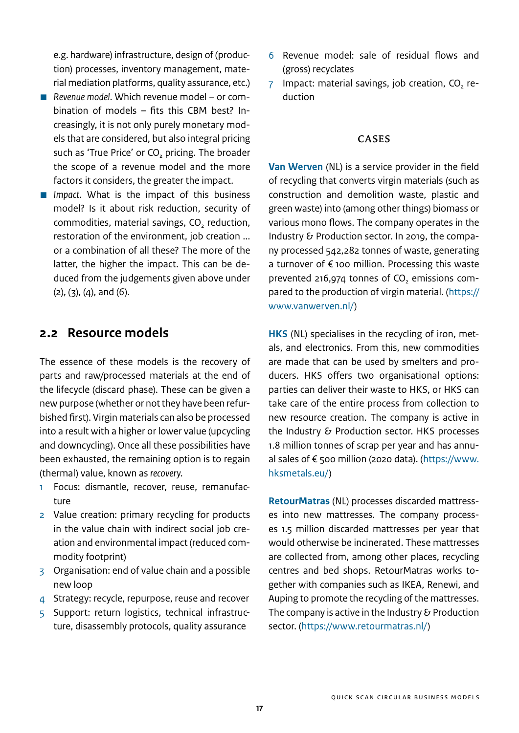<span id="page-16-0"></span>e.g. hardware) infrastructure, design of (production) processes, inventory management, material mediation platforms, quality assurance, etc.)

- *Revenue model*. Which revenue model or combination of models – fits this CBM best? Increasingly, it is not only purely monetary models that are considered, but also integral pricing such as 'True Price' or CO<sub>2</sub> pricing. The broader the scope of a revenue model and the more factors it considers, the greater the impact.
- *Impact*. What is the impact of this business model? Is it about risk reduction, security of commodities, material savings, CO<sub>2</sub> reduction, restoration of the environment, job creation ... or a combination of all these? The more of the latter, the higher the impact. This can be deduced from the judgements given above under  $(2)$ ,  $(3)$ ,  $(4)$ , and  $(6)$ .

## **2.2 Resource models**

The essence of these models is the recovery of parts and raw/processed materials at the end of the lifecycle (discard phase). These can be given a new purpose (whether or not they have been refurbished first). Virgin materials can also be processed into a result with a higher or lower value (upcycling and downcycling). Once all these possibilities have been exhausted, the remaining option is to regain (thermal) value, known as *recovery*.

- 1 Focus: dismantle, recover, reuse, remanufacture
- 2 Value creation: primary recycling for products in the value chain with indirect social job creation and environmental impact (reduced commodity footprint)
- 3 Organisation: end of value chain and a possible new loop
- 4 Strategy: recycle, repurpose, reuse and recover
- 5 Support: return logistics, technical infrastructure, disassembly protocols, quality assurance
- 6 Revenue model: sale of residual flows and (gross) recyclates
- $7$  Impact: material savings, job creation, CO<sub>2</sub> reduction

## **CASES**

**Van Werven** (NL) is a service provider in the field of recycling that converts virgin materials (such as construction and demolition waste, plastic and green waste) into (among other things) biomass or various mono flows. The company operates in the Industry & Production sector. In 2019, the company processed 542,282 tonnes of waste, generating a turnover of € 100 million. Processing this waste prevented 216,974 tonnes of  $CO<sub>2</sub>$  emissions compared to the production of virgin material. ([https://](https://www.vanwerven.nl/) [www.vanwerven.nl/](https://www.vanwerven.nl/))

**HKS** (NL) specialises in the recycling of iron, metals, and electronics. From this, new commodities are made that can be used by smelters and producers. HKS offers two organisational options: parties can deliver their waste to HKS, or HKS can take care of the entire process from collection to new resource creation. The company is active in the Industry & Production sector. HKS processes 1.8 million tonnes of scrap per year and has annual sales of € 500 million (2020 data). ([https://www.](https://www.hksmetals.eu/) [hksmetals.eu/](https://www.hksmetals.eu/))

**RetourMatras** (NL) processes discarded mattresses into new mattresses. The company processes 1.5 million discarded mattresses per year that would otherwise be incinerated. These mattresses are collected from, among other places, recycling centres and bed shops. RetourMatras works together with companies such as IKEA, Renewi, and Auping to promote the recycling of the mattresses. The company is active in the Industry  $\epsilon$  Production sector. [\(https://www.retourmatras.nl/](https://www.retourmatras.nl/))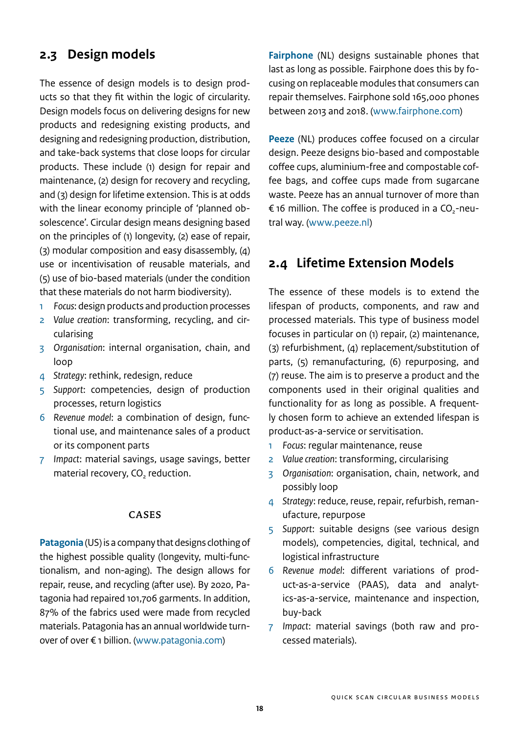## <span id="page-17-0"></span>**2.3 Design models**

The essence of design models is to design products so that they fit within the logic of circularity. Design models focus on delivering designs for new products and redesigning existing products, and designing and redesigning production, distribution, and take-back systems that close loops for circular products. These include (1) design for repair and maintenance, (2) design for recovery and recycling, and (3) design for lifetime extension. This is at odds with the linear economy principle of 'planned obsolescence'. Circular design means designing based on the principles of (1) longevity, (2) ease of repair, (3) modular composition and easy disassembly, (4) use or incentivisation of reusable materials, and (5) use of bio-based materials (under the condition that these materials do not harm biodiversity).

- 1 *Focus*: design products and production processes
- 2 *Value creation*: transforming, recycling, and circularising
- 3 *Organisation*: internal organisation, chain, and loop
- 4 *Strategy*: rethink, redesign, reduce
- 5 *Support*: competencies, design of production processes, return logistics
- 6 *Revenue model*: a combination of design, functional use, and maintenance sales of a product or its component parts
- 7 *Impact*: material savings, usage savings, better material recovery, CO<sub>2</sub> reduction.

## **CASES**

**Patagonia** (US) is a company that designs clothing of the highest possible quality (longevity, multi-functionalism, and non-aging). The design allows for repair, reuse, and recycling (after use). By 2020, Patagonia had repaired 101,706 garments. In addition, 87% of the fabrics used were made from recycled materials. Patagonia has an annual worldwide turnover of over € 1 billion. [\(www.patagonia.com\)](http://www.patagonia.com)

**Fairphone** (NL) designs sustainable phones that last as long as possible. Fairphone does this by focusing on replaceable modules that consumers can repair themselves. Fairphone sold 165,000 phones between 2013 and 2018. [\(www.fairphone.com](http://www.fairphone.com))

**Peeze** (NL) produces coffee focused on a circular design. Peeze designs bio-based and compostable coffee cups, aluminium-free and compostable coffee bags, and coffee cups made from sugarcane waste. Peeze has an annual turnover of more than € 16 million. The coffee is produced in a  $CO_2$ -neutral way. ([www.peeze.nl\)](http://www.peeze.nl)

## **2.4 Lifetime Extension Models**

The essence of these models is to extend the lifespan of products, components, and raw and processed materials. This type of business model focuses in particular on (1) repair, (2) maintenance, (3) refurbishment, (4) replacement/substitution of parts, (5) remanufacturing, (6) repurposing, and (7) reuse. The aim is to preserve a product and the components used in their original qualities and functionality for as long as possible. A frequently chosen form to achieve an extended lifespan is product-as-a-service or servitisation.

- 1 *Focus*: regular maintenance, reuse
- 2 *Value creation*: transforming, circularising
- 3 *Organisation*: organisation, chain, network, and possibly loop
- 4 *Strategy*: reduce, reuse, repair, refurbish, remanufacture, repurpose
- 5 *Support*: suitable designs (see various design models), competencies, digital, technical, and logistical infrastructure
- 6 *Revenue model*: different variations of product-as-a-service (PAAS), data and analytics-as-a-service, maintenance and inspection, buy-back
- 7 *Impact*: material savings (both raw and processed materials).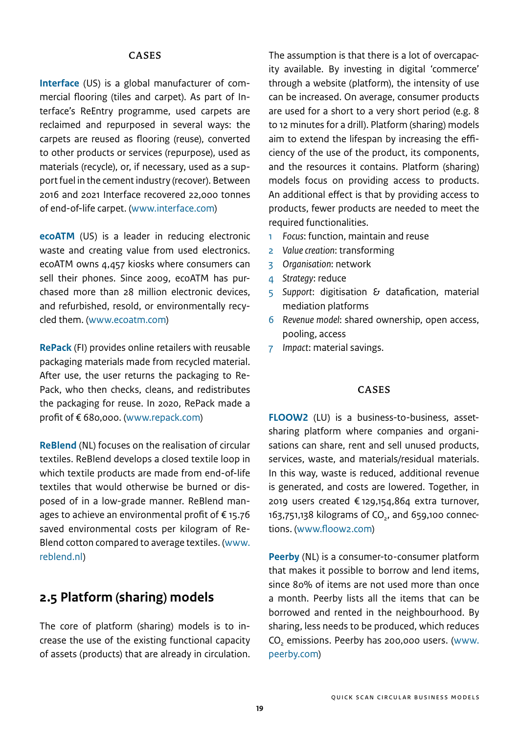## **CASES**

<span id="page-18-0"></span>**Interface** (US) is a global manufacturer of commercial flooring (tiles and carpet). As part of Interface's ReEntry programme, used carpets are reclaimed and repurposed in several ways: the carpets are reused as flooring (reuse), converted to other products or services (repurpose), used as materials (recycle), or, if necessary, used as a support fuel in the cement industry (recover). Between 2016 and 2021 Interface recovered 22,000 tonnes of end-of-life carpet. [\(www.interface.com\)](http://www.interface.com)

**ecoATM** (US) is a leader in reducing electronic waste and creating value from used electronics. ecoATM owns 4,457 kiosks where consumers can sell their phones. Since 2009, ecoATM has purchased more than 28 million electronic devices, and refurbished, resold, or environmentally recycled them. ([www.ecoatm.com](http://www.ecoatm.com))

**RePack** (FI) provides online retailers with reusable packaging materials made from recycled material. After use, the user returns the packaging to Re-Pack, who then checks, cleans, and redistributes the packaging for reuse. In 2020, RePack made a profit of € 680,000. [\(www.repack.com](http://www.repack.com))

**ReBlend** (NL) focuses on the realisation of circular textiles. ReBlend develops a closed textile loop in which textile products are made from end-of-life textiles that would otherwise be burned or disposed of in a low-grade manner. ReBlend manages to achieve an environmental profit of  $\epsilon$  15.76 saved environmental costs per kilogram of Re-Blend cotton compared to average textiles. [\(www.](http://www.reblend.nl) [reblend.nl\)](http://www.reblend.nl)

## **2.5 Platform (sharing) models**

The core of platform (sharing) models is to increase the use of the existing functional capacity of assets (products) that are already in circulation.

The assumption is that there is a lot of overcapacity available. By investing in digital 'commerce' through a website (platform), the intensity of use can be increased. On average, consumer products are used for a short to a very short period (e.g. 8 to 12 minutes for a drill). Platform (sharing) models aim to extend the lifespan by increasing the efficiency of the use of the product, its components, and the resources it contains. Platform (sharing) models focus on providing access to products. An additional effect is that by providing access to products, fewer products are needed to meet the required functionalities.

- 1 *Focus*: function, maintain and reuse
- 2 *Value creation*: transforming
- 3 *Organisation*: network
- 4 *Strategy*: reduce
- 5 *Support*: digitisation & datafication, material mediation platforms
- 6 *Revenue model*: shared ownership, open access, pooling, access
- 7 *Impact*: material savings.

## **CASES**

**FLOOW2** (LU) is a business-to-business, assetsharing platform where companies and organisations can share, rent and sell unused products, services, waste, and materials/residual materials. In this way, waste is reduced, additional revenue is generated, and costs are lowered. Together, in 2019 users created € 129,154,864 extra turnover,  $163,751,138$  kilograms of CO<sub>2</sub>, and 659,100 connections. ([www.floow2.com](http://www.floow2.com))

**Peerby** (NL) is a consumer-to-consumer platform that makes it possible to borrow and lend items, since 80% of items are not used more than once a month. Peerby lists all the items that can be borrowed and rented in the neighbourhood. By sharing, less needs to be produced, which reduces CO<sub>2</sub> emissions. Peerby has 200,000 users. ([www.](http://www.peerby.com) [peerby.com](http://www.peerby.com))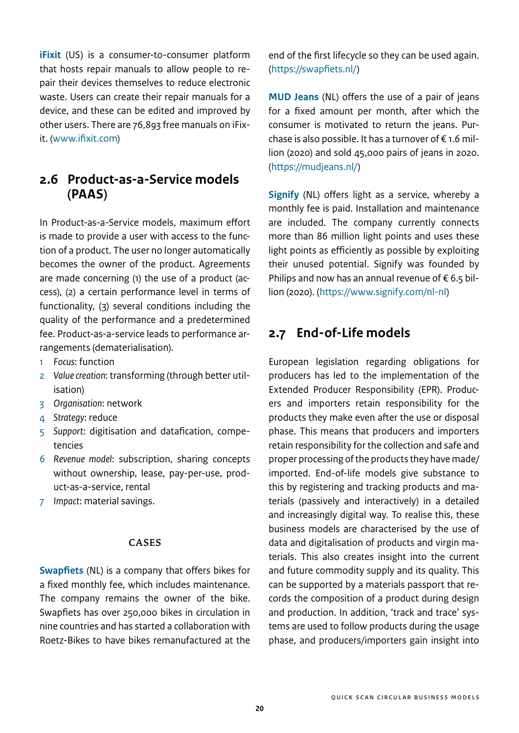<span id="page-19-0"></span>**iFixit** (US) is a consumer-to-consumer platform that hosts repair manuals to allow people to repair their devices themselves to reduce electronic waste. Users can create their repair manuals for a device, and these can be edited and improved by other users. There are 76,893 free manuals on iFixit. ([www.ifixit.com](http://www.ifixit.com))

## **2.6 Product-as-a-Service models (PAAS)**

In Product-as-a-Service models, maximum effort is made to provide a user with access to the function of a product. The user no longer automatically becomes the owner of the product. Agreements are made concerning (1) the use of a product (access), (2) a certain performance level in terms of functionality, (3) several conditions including the quality of the performance and a predetermined fee. Product-as-a-service leads to performance arrangements (dematerialisation).

- 1 *Focus*: function
- 2 *Value creation*: transforming (through better utilisation)
- 3 *Organisation*: network
- 4 *Strategy*: reduce
- 5 *Support*: digitisation and datafication, competencies
- 6 *Revenue model*: subscription, sharing concepts without ownership, lease, pay-per-use, product-as-a-service, rental
- 7 *Impact*: material savings.

## **CASES**

**Swapfiets** (NL) is a company that offers bikes for a fixed monthly fee, which includes maintenance. The company remains the owner of the bike. Swapfiets has over 250,000 bikes in circulation in nine countries and has started a collaboration with Roetz-Bikes to have bikes remanufactured at the

end of the first lifecycle so they can be used again. [\(https://swapfiets.nl/](https://swapfiets.nl/))

**MUD Jeans** (NL) offers the use of a pair of jeans for a fixed amount per month, after which the consumer is motivated to return the jeans. Purchase is also possible. It has a turnover of  $\epsilon$  1.6 million (2020) and sold 45,000 pairs of jeans in 2020. [\(https://mudjeans.nl/](https://mudjeans.nl/))

**Signify** (NL) offers light as a service, whereby a monthly fee is paid. Installation and maintenance are included. The company currently connects more than 86 million light points and uses these light points as efficiently as possible by exploiting their unused potential. Signify was founded by Philips and now has an annual revenue of  $\epsilon$  6.5 billion (2020). (<https://www.signify.com/nl-nl>)

## **2.7 End-of-Life models**

European legislation regarding obligations for producers has led to the implementation of the Extended Producer Responsibility (EPR). Producers and importers retain responsibility for the products they make even after the use or disposal phase. This means that producers and importers retain responsibility for the collection and safe and proper processing of the products they have made/ imported. End-of-life models give substance to this by registering and tracking products and materials (passively and interactively) in a detailed and increasingly digital way. To realise this, these business models are characterised by the use of data and digitalisation of products and virgin materials. This also creates insight into the current and future commodity supply and its quality. This can be supported by a materials passport that records the composition of a product during design and production. In addition, 'track and trace' systems are used to follow products during the usage phase, and producers/importers gain insight into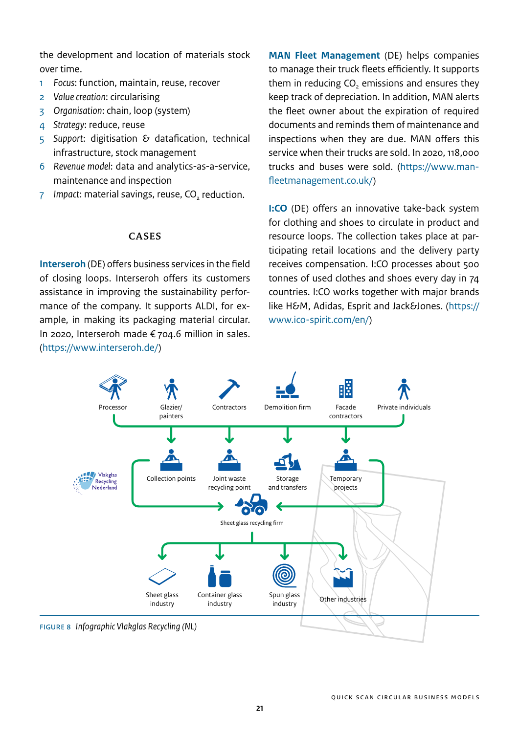the development and location of materials stock over time.

- 1 *Focus*: function, maintain, reuse, recover
- 2 *Value creation*: circularising
- 3 *Organisation*: chain, loop (system)
- 4 *Strategy*: reduce, reuse
- 5 *Support*: digitisation & datafication, technical infrastructure, stock management
- 6 *Revenue model*: data and analytics-as-a-service, maintenance and inspection
- 7 *Impact:* material savings, reuse, CO<sub>2</sub> reduction.

## **CASES**

**Interseroh** (DE) offers business services in the field of closing loops. Interseroh offers its customers assistance in improving the sustainability performance of the company. It supports ALDI, for example, in making its packaging material circular. In 2020, Interseroh made € 704.6 million in sales. ([https://www.interseroh.de/\)](https://www.interseroh.de/)

**MAN Fleet Management** (DE) helps companies to manage their truck fleets efficiently. It supports them in reducing CO<sub>2</sub> emissions and ensures they keep track of depreciation. In addition, MAN alerts the fleet owner about the expiration of required documents and reminds them of maintenance and inspections when they are due. MAN offers this service when their trucks are sold. In 2020, 118,000 trucks and buses were sold. [\(https://www.man](https://www.manfleetmanagement.co.uk/)[fleetmanagement.co.uk/\)](https://www.manfleetmanagement.co.uk/)

**I:CO** (DE) offers an innovative take-back system for clothing and shoes to circulate in product and resource loops. The collection takes place at participating retail locations and the delivery party receives compensation. I:CO processes about 500 tonnes of used clothes and shoes every day in 74 countries. I:CO works together with major brands like H&M, Adidas, Esprit and Jack&Jones. ([https://](https://www.ico-spirit.com/en/) [www.ico-spirit.com/en/\)](https://www.ico-spirit.com/en/)

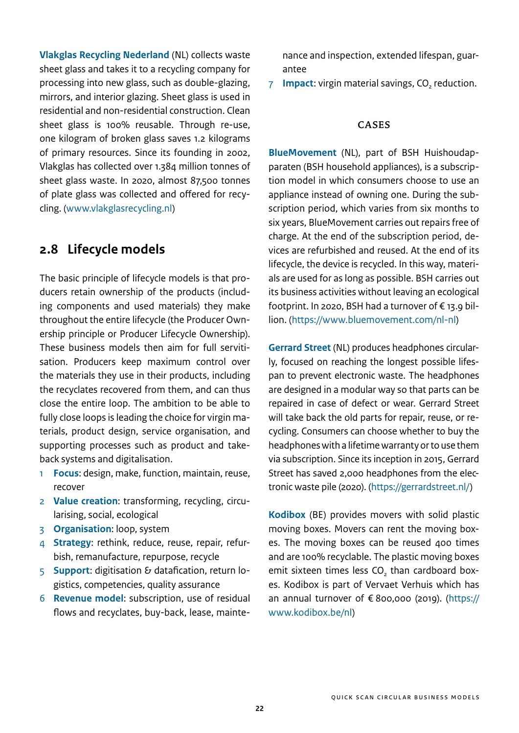<span id="page-21-0"></span>**Vlakglas Recycling Nederland** (NL) collects waste sheet glass and takes it to a recycling company for processing into new glass, such as double-glazing, mirrors, and interior glazing. Sheet glass is used in residential and non-residential construction. Clean sheet glass is 100% reusable. Through re-use, one kilogram of broken glass saves 1.2 kilograms of primary resources. Since its founding in 2002, Vlakglas has collected over 1.384 million tonnes of sheet glass waste. In 2020, almost 87,500 tonnes of plate glass was collected and offered for recycling. [\(www.vlakglasrecycling.nl](http://www.vlakglasrecycling.nl))

## **2.8 Lifecycle models**

The basic principle of lifecycle models is that producers retain ownership of the products (including components and used materials) they make throughout the entire lifecycle (the Producer Ownership principle or Producer Lifecycle Ownership). These business models then aim for full servitisation. Producers keep maximum control over the materials they use in their products, including the recyclates recovered from them, and can thus close the entire loop. The ambition to be able to fully close loops is leading the choice for virgin materials, product design, service organisation, and supporting processes such as product and takeback systems and digitalisation.

- 1 **Focus**: design, make, function, maintain, reuse, recover
- 2 **Value creation**: transforming, recycling, circularising, social, ecological
- 3 **Organisation**: loop, system
- 4 **Strategy**: rethink, reduce, reuse, repair, refurbish, remanufacture, repurpose, recycle
- 5 **Support**: digitisation & datafication, return logistics, competencies, quality assurance
- 6 **Revenue model**: subscription, use of residual flows and recyclates, buy-back, lease, mainte-

nance and inspection, extended lifespan, guarantee

7 **Impact**: virgin material savings, CO<sub>2</sub> reduction.

## **CASES**

**BlueMovement** (NL), part of BSH Huishoudapparaten (BSH household appliances), is a subscription model in which consumers choose to use an appliance instead of owning one. During the subscription period, which varies from six months to six years, BlueMovement carries out repairs free of charge. At the end of the subscription period, devices are refurbished and reused. At the end of its lifecycle, the device is recycled. In this way, materials are used for as long as possible. BSH carries out its business activities without leaving an ecological footprint. In 2020, BSH had a turnover of  $\epsilon$  13.9 billion. (<https://www.bluemovement.com/nl-nl>)

**Gerrard Street** (NL) produces headphones circularly, focused on reaching the longest possible lifespan to prevent electronic waste. The headphones are designed in a modular way so that parts can be repaired in case of defect or wear. Gerrard Street will take back the old parts for repair, reuse, or recycling. Consumers can choose whether to buy the headphones with a lifetime warranty or to use them via subscription. Since its inception in 2015, Gerrard Street has saved 2,000 headphones from the electronic waste pile (2020). [\(https://gerrardstreet.nl/](https://gerrardstreet.nl/))

**Kodibox** (BE) provides movers with solid plastic moving boxes. Movers can rent the moving boxes. The moving boxes can be reused 400 times and are 100% recyclable. The plastic moving boxes emit sixteen times less CO<sub>2</sub> than cardboard boxes. Kodibox is part of Vervaet Verhuis which has an annual turnover of  $\epsilon$  800,000 (2019). ([https://](https://www.kodibox.be/nl) [www.kodibox.be/nl\)](https://www.kodibox.be/nl)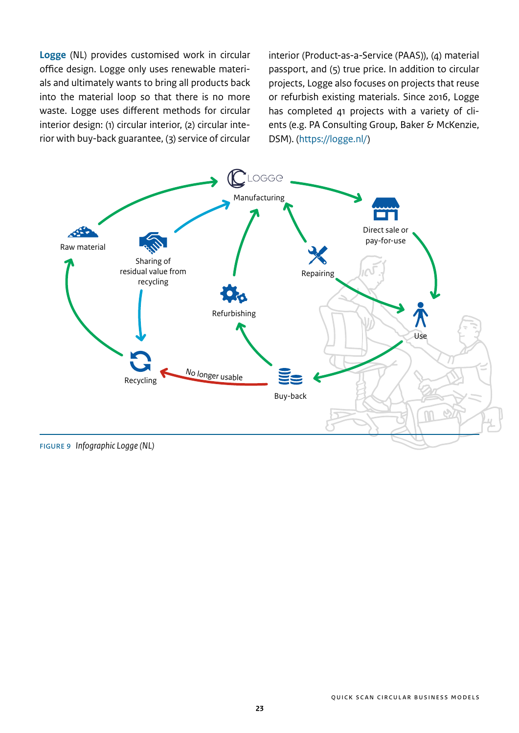**Logge** (NL) provides customised work in circular office design. Logge only uses renewable materials and ultimately wants to bring all products back into the material loop so that there is no more waste. Logge uses different methods for circular interior design: (1) circular interior, (2) circular interior with buy-back guarantee, (3) service of circular

interior (Product-as-a-Service (PAAS)), (4) material passport, and (5) true price. In addition to circular projects, Logge also focuses on projects that reuse or refurbish existing materials. Since 2016, Logge has completed 41 projects with a variety of clients (e.g. PA Consulting Group, Baker & McKenzie, DSM). [\(https://logge.nl/](https://logge.nl/))

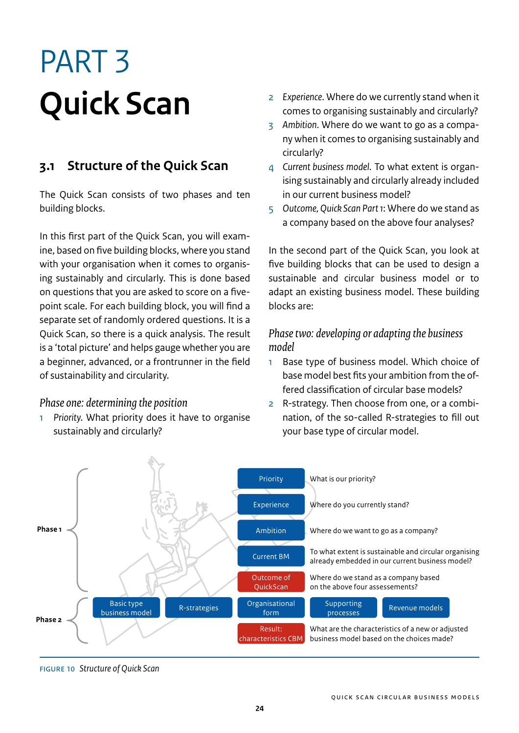## <span id="page-23-0"></span>PART 3 **Quick Scan**

## **3.1 Structure of the Quick Scan**

The Quick Scan consists of two phases and ten building blocks.

In this first part of the Quick Scan, you will examine, based on five building blocks, where you stand with your organisation when it comes to organising sustainably and circularly. This is done based on questions that you are asked to score on a fivepoint scale. For each building block, you will find a separate set of randomly ordered questions. It is a Quick Scan, so there is a quick analysis. The result is a 'total picture' and helps gauge whether you are a beginner, advanced, or a frontrunner in the field of sustainability and circularity.

## *Phase one: determining the position*

1 *Priority*. What priority does it have to organise sustainably and circularly?

- 2 *Experience*. Where do we currently stand when it comes to organising sustainably and circularly?
- 3 *Ambition*. Where do we want to go as a company when it comes to organising sustainably and circularly?
- 4 *Current business model*. To what extent is organising sustainably and circularly already included in our current business model?
- 5 *Outcome, Quick Scan Part 1*: Where do we stand as a company based on the above four analyses?

In the second part of the Quick Scan, you look at five building blocks that can be used to design a sustainable and circular business model or to adapt an existing business model. These building blocks are:

## *Phase two: developing or adapting the business model*

- 1 Base type of business model. Which choice of base model best fits your ambition from the offered classification of circular base models?
- 2 R-strategy. Then choose from one, or a combination, of the so-called R-strategies to fill out your base type of circular model.



## Figure 10 *Structure of Quick Scan*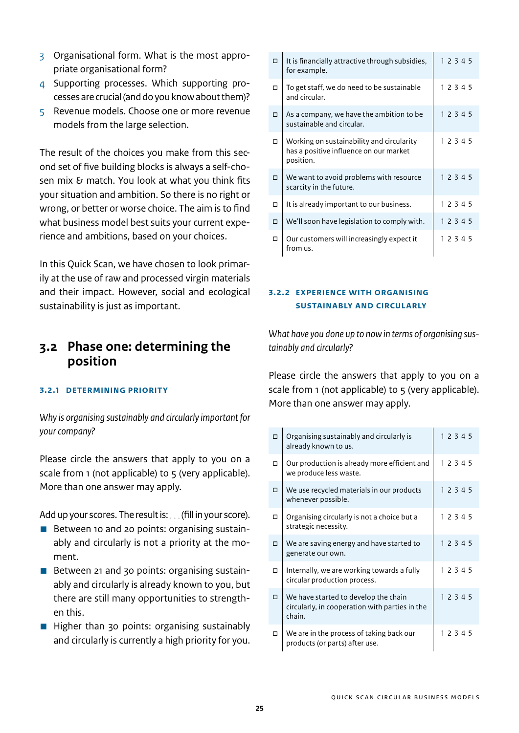- <span id="page-24-0"></span>3 Organisational form. What is the most appropriate organisational form?
- 4 Supporting processes. Which supporting processes are crucial (and do you know about them)?
- 5 Revenue models. Choose one or more revenue models from the large selection.

The result of the choices you make from this second set of five building blocks is always a self-chosen mix  $\delta$  match. You look at what you think fits your situation and ambition. So there is no right or wrong, or better or worse choice. The aim is to find what business model best suits your current experience and ambitions, based on your choices.

In this Quick Scan, we have chosen to look primarily at the use of raw and processed virgin materials and their impact. However, social and ecological sustainability is just as important.

## **3.2 Phase one: determining the position**

## **3.2.1 Determining priority**

*Why is organising sustainably and circularly important for your company?*

Please circle the answers that apply to you on a scale from 1 (not applicable) to 5 (very applicable). More than one answer may apply.

Add up your scores. The result is: . . . (fill in your score).

- Between 10 and 20 points: organising sustainably and circularly is not a priority at the moment.
- Between 21 and 30 points: organising sustainably and circularly is already known to you, but there are still many opportunities to strengthen this.
- $\blacksquare$  Higher than 30 points: organising sustainably and circularly is currently a high priority for you.

| $\Box$ | It is financially attractive through subsidies,<br>for example.                                  | 12345 |
|--------|--------------------------------------------------------------------------------------------------|-------|
| П.     | To get staff, we do need to be sustainable<br>and circular.                                      | 12345 |
|        | As a company, we have the ambition to be<br>sustainable and circular.                            | 12345 |
| П.     | Working on sustainability and circularity<br>has a positive influence on our market<br>position. | 12345 |
| $\Box$ | We want to avoid problems with resource<br>scarcity in the future.                               | 12345 |
| □      | It is already important to our business.                                                         | 12345 |
| □      | We'll soon have legislation to comply with.                                                      | 12345 |
| п      | Our customers will increasingly expect it<br>from us.                                            | 12345 |

## **3.2.2 Experience with organising SUSTAINABLY AND CIRCULARLY**

*What have you done up to now in terms of organising sustainably and circularly?*

Please circle the answers that apply to you on a scale from 1 (not applicable) to 5 (very applicable). More than one answer may apply.

| $\Box$ | Organising sustainably and circularly is<br>already known to us.                                 | 12345 |
|--------|--------------------------------------------------------------------------------------------------|-------|
| $\Box$ | Our production is already more efficient and<br>we produce less waste.                           | 12345 |
| $\Box$ | We use recycled materials in our products<br>whenever possible.                                  | 12345 |
| $\Box$ | Organising circularly is not a choice but a<br>strategic necessity.                              | 12345 |
| $\Box$ | We are saving energy and have started to<br>generate our own.                                    | 12345 |
| $\Box$ | Internally, we are working towards a fully<br>circular production process.                       | 12345 |
| $\Box$ | We have started to develop the chain<br>circularly, in cooperation with parties in the<br>chain. | 12345 |
| П.     | We are in the process of taking back our<br>products (or parts) after use.                       | 12345 |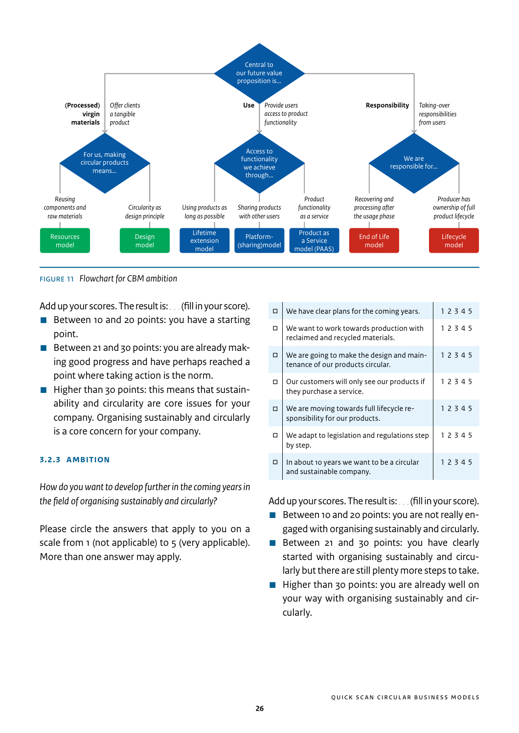

Figure 11 *Flowchart for CBM ambition*

Add up your scores. The result is: . . . (fill in your score).

- Between 10 and 20 points: you have a starting point.
- Between 21 and 30 points: you are already making good progress and have perhaps reached a point where taking action is the norm.
- **E** Higher than 30 points: this means that sustainability and circularity are core issues for your company. Organising sustainably and circularly is a core concern for your company.

## **3.2.3 Ambition**

*How do you want to develop further in the coming years in the field of organising sustainably and circularly?*

Please circle the answers that apply to you on a scale from 1 (not applicable) to 5 (very applicable). More than one answer may apply.

| $\Box$ | We have clear plans for the coming years.                                      | 12345     |
|--------|--------------------------------------------------------------------------------|-----------|
| $\Box$ | We want to work towards production with<br>reclaimed and recycled materials.   | 12345     |
| $\Box$ | We are going to make the design and main-<br>tenance of our products circular. | 12345     |
| 0      | Our customers will only see our products if<br>they purchase a service.        | 12345     |
| $\Box$ | We are moving towards full lifecycle re-<br>sponsibility for our products.     | 12345     |
| П.     | We adapt to legislation and regulations step<br>by step.                       | 12345     |
| $\Box$ | In about 10 years we want to be a circular<br>and sustainable company.         | 1 2 3 4 5 |

Add up your scores. The result is: (fill in your score).

- Between 10 and 20 points: you are not really engaged with organising sustainably and circularly.
- **Between 21 and 30 points: you have clearly** started with organising sustainably and circularly but there are still plenty more steps to take.
- $\blacksquare$  Higher than 30 points: you are already well on your way with organising sustainably and circularly.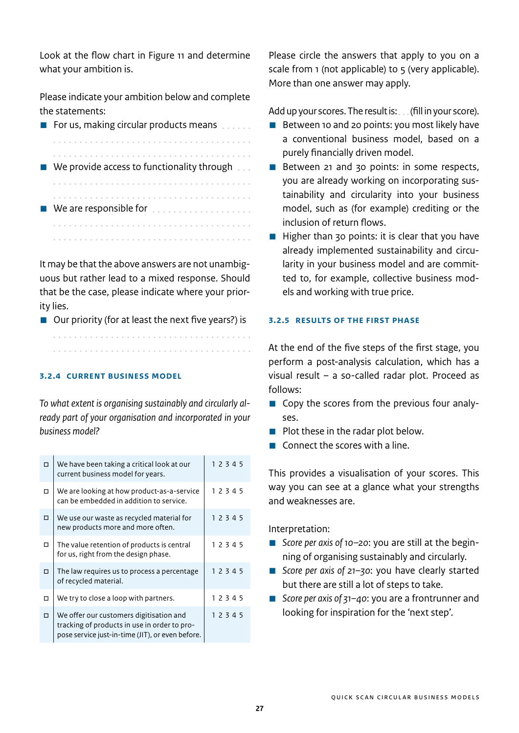Look at the flow chart in Figure 11 and determine what your ambition is.

Please indicate your ambition below and complete the statements:

**E** For us, making circular products means  $\blacksquare$  We provide access to functionality through  $\blacksquare$ . ■ We are responsible for 

It may be that the above answers are not unambiguous but rather lead to a mixed response. Should that be the case, please indicate where your priority lies.

 $\Box$  Our priority (for at least the next five years?) is 

#### **3.2.4 Current business model**

*To what extent is organising sustainably and circularly already part of your organisation and incorporated in your business model?*

| п  | We have been taking a critical look at our<br>current business model for years.                                                             | 1 2 3 4 5 |
|----|---------------------------------------------------------------------------------------------------------------------------------------------|-----------|
| п. | We are looking at how product-as-a-service<br>can be embedded in addition to service.                                                       | 12345     |
|    | We use our waste as recycled material for<br>new products more and more often.                                                              | 12345     |
| П. | The value retention of products is central<br>for us, right from the design phase.                                                          | 12345     |
| п  | The law requires us to process a percentage<br>of recycled material.                                                                        | 12345     |
| п  | We try to close a loop with partners.                                                                                                       | 12345     |
|    | We offer our customers digitisation and<br>tracking of products in use in order to pro-<br>pose service just-in-time (JIT), or even before. | 12345     |

Please circle the answers that apply to you on a scale from 1 (not applicable) to 5 (very applicable). More than one answer may apply.

Add up your scores. The result is: . . . (fill in your score).

- **B** Between 10 and 20 points: you most likely have a conventional business model, based on a purely financially driven model.
- Between 21 and 30 points: in some respects, you are already working on incorporating sustainability and circularity into your business model, such as (for example) crediting or the inclusion of return flows.
- $\blacksquare$  Higher than 30 points: it is clear that you have already implemented sustainability and circularity in your business model and are committed to, for example, collective business models and working with true price.

#### **3.2.5 Results of the first phase**

At the end of the five steps of the first stage, you perform a post-analysis calculation, which has a visual result – a so-called radar plot. Proceed as follows:

- Copy the scores from the previous four analyses.
- $\blacksquare$  Plot these in the radar plot below.
- $\blacksquare$  Connect the scores with a line.

This provides a visualisation of your scores. This way you can see at a glance what your strengths and weaknesses are.

Interpretation:

- *Score per axis of 10-20*: you are still at the beginning of organising sustainably and circularly.
- *Score per axis of 21-30*: you have clearly started but there are still a lot of steps to take.
- *Score per axis of 31-40*: you are a frontrunner and looking for inspiration for the 'next step'.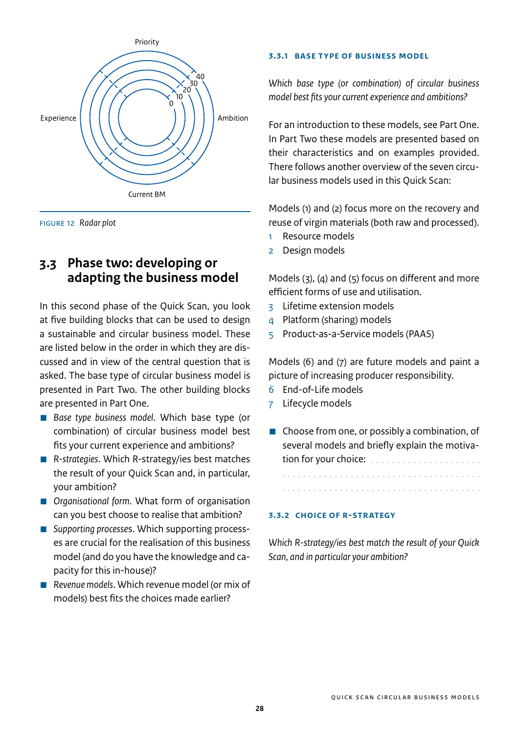<span id="page-27-0"></span>

Figure 12 *Radar plot*

## **3.3 Phase two: developing or adapting the business model**

In this second phase of the Quick Scan, you look at five building blocks that can be used to design a sustainable and circular business model. These are listed below in the order in which they are discussed and in view of the central question that is asked. The base type of circular business model is presented in Part Two. The other building blocks are presented in Part One.

- *Base type business model*. Which base type (or combination) of circular business model best fits your current experience and ambitions?
- *R-strategies*. Which R-strategy/ies best matches the result of your Quick Scan and, in particular, your ambition?
- *Organisational form*. What form of organisation can you best choose to realise that ambition?
- *Supporting processes*. Which supporting processes are crucial for the realisation of this business model (and do you have the knowledge and capacity for this in-house)?
- *Revenue models*. Which revenue model (or mix of models) best fits the choices made earlier?

#### **3.3.1 Base type of business model**

*Which base type (or combination) of circular business model best fits your current experience and ambitions?*

For an introduction to these models, see Part One. In Part Two these models are presented based on their characteristics and on examples provided. There follows another overview of the seven circular business models used in this Quick Scan:

Models (1) and (2) focus more on the recovery and reuse of virgin materials (both raw and processed).

- 1 Resource models
- 2 Design models

Models (3), (4) and (5) focus on different and more efficient forms of use and utilisation.

- 3 Lifetime extension models
- 4 Platform (sharing) models
- 5 Product-as-a-Service models (PAAS)

Models (6) and (7) are future models and paint a picture of increasing producer responsibility.

- 6 End-of-Life models
- 7 Lifecycle models
- Choose from one, or possibly a combination, of several models and briefly explain the motivation for your choice:

## **3.3.2 CHOICE OF R-STRATEGY**

*Which R-strategy/ies best match the result of your Quick Scan, and in particular your ambition?*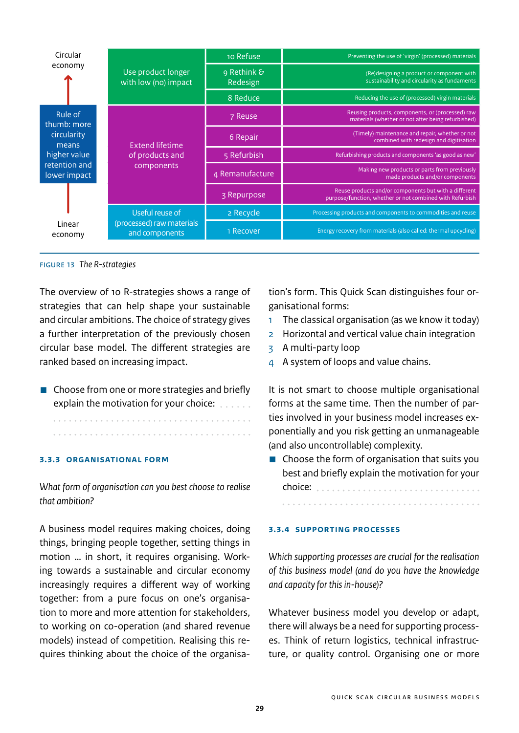| Circular                      |                                             | 10 Refuse                        | Preventing the use of 'virgin' (processed) materials                                                              |
|-------------------------------|---------------------------------------------|----------------------------------|-------------------------------------------------------------------------------------------------------------------|
| economy                       | Use product longer<br>with low (no) impact  | 9 Rethink $\epsilon$<br>Redesign | (Re)designing a product or component with<br>sustainability and circularity as fundaments                         |
|                               |                                             | 8 Reduce                         | Reducing the use of (processed) virgin materials                                                                  |
| Rule of<br>thumb: more        | Extend lifetime<br>of products and          | 7 Reuse                          | Reusing products, components, or (processed) raw<br>materials (whether or not after being refurbished)            |
| circularity<br>means          |                                             | 6 Repair                         | (Timely) maintenance and repair, whether or not<br>combined with redesign and digitisation                        |
| higher value                  |                                             | 5 Refurbish                      | Refurbishing products and components 'as good as new'                                                             |
| retention and<br>lower impact | components                                  | 4 Remanufacture                  | Making new products or parts from previously<br>made products and/or components                                   |
|                               |                                             | 3 Repurpose                      | Reuse products and/or components but with a different<br>purpose/function, whether or not combined with Refurbish |
|                               | Useful reuse of                             | 2 Recycle                        | Processing products and components to commodities and reuse                                                       |
| Linear<br>economy             | (processed) raw materials<br>and components | 1 Recover                        | Energy recovery from materials (also called: thermal upcycling)                                                   |

#### FIGURE 13 *The R-strategies*

The overview of 10 R-strategies shows a range of strategies that can help shape your sustainable and circular ambitions. The choice of strategy gives a further interpretation of the previously chosen circular base model. The different strategies are ranked based on increasing impact.

■ Choose from one or more strategies and briefly explain the motivation for your choice: 

#### **3.3.3 Organisational form**

*What form of organisation can you best choose to realise that ambition?*

A business model requires making choices, doing things, bringing people together, setting things in motion … in short, it requires organising. Working towards a sustainable and circular economy increasingly requires a different way of working together: from a pure focus on one's organisation to more and more attention for stakeholders, to working on co-operation (and shared revenue models) instead of competition. Realising this requires thinking about the choice of the organisation's form. This Quick Scan distinguishes four organisational forms:

- 1 The classical organisation (as we know it today)
- 2 Horizontal and vertical value chain integration
- 3 A multi-party loop
- 4 A system of loops and value chains.

It is not smart to choose multiple organisational forms at the same time. Then the number of parties involved in your business model increases exponentially and you risk getting an unmanageable (and also uncontrollable) complexity.

 $\blacksquare$  Choose the form of organisation that suits you best and briefly explain the motivation for your choice:

#### **3.3.4 Supporting processes**

*Which supporting processes are crucial for the realisation of this business model (and do you have the knowledge and capacity for this in-house)?*

Whatever business model you develop or adapt, there will always be a need for supporting processes. Think of return logistics, technical infrastructure, or quality control. Organising one or more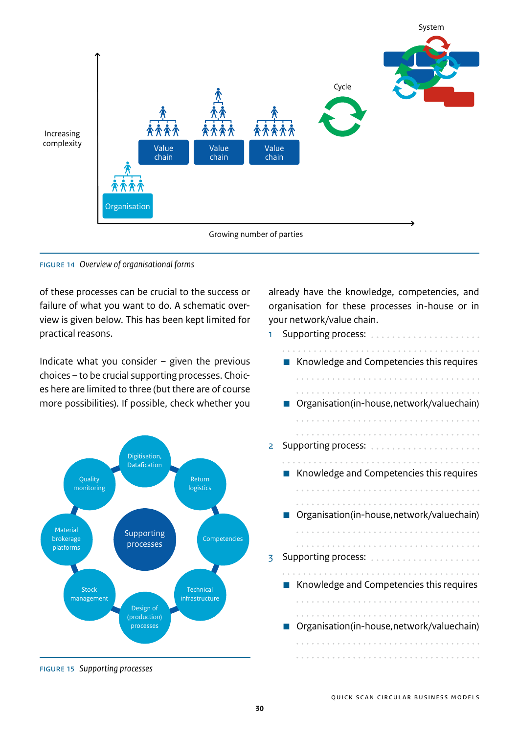

Figure 14 *Overview of organisational forms*

of these processes can be crucial to the success or failure of what you want to do. A schematic overview is given below. This has been kept limited for practical reasons.

Indicate what you consider – given the previous choices – to be crucial supporting processes. Choices here are limited to three (but there are of course more possibilities). If possible, check whether you



Figure 15 *Supporting processes*

already have the knowledge, competencies, and organisation for these processes in-house or in your network/value chain.

1 Supporting process: . . . . . . . . . . . . . . . . . . . . ■ Knowledge and Competencies this requires . . . . . . . . . . . . . . . . . . . . ■ Organisation (in-house, network/value chain) 2 Supporting process:  $\blacksquare$  Knowledge and Competencies this requires . . . . . . . . . . . . . . ■ Organisation (in-house, network/value chain) 3 Supporting process: Knowledge and Competencies this requires Organisation (in-house, network/value chain) . . . . . . . . . . . . . . . . . . . .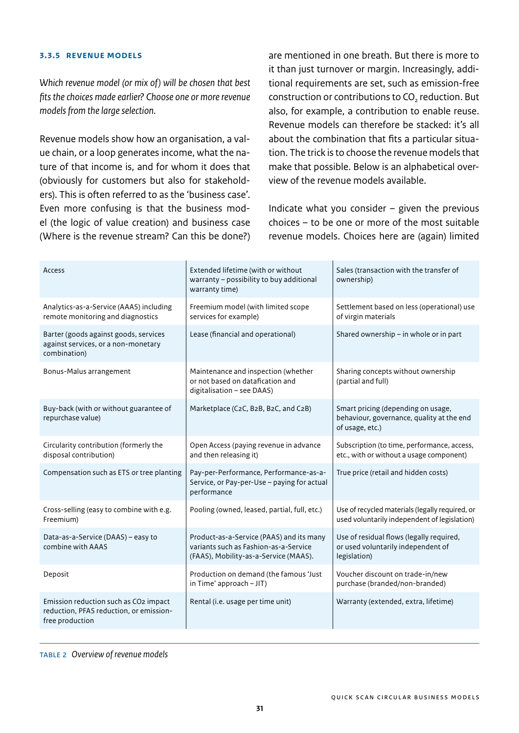#### **3.3.5 Revenue models**

*Which revenue model (or mix of) will be chosen that best fits the choices made earlier? Choose one or more revenue models from the large selection.*

Revenue models show how an organisation, a value chain, or a loop generates income, what the nature of that income is, and for whom it does that (obviously for customers but also for stakeholders). This is often referred to as the 'business case'. Even more confusing is that the business model (the logic of value creation) and business case (Where is the revenue stream? Can this be done?) are mentioned in one breath. But there is more to it than just turnover or margin. Increasingly, additional requirements are set, such as emission-free construction or contributions to CO<sub>2</sub> reduction. But also, for example, a contribution to enable reuse. Revenue models can therefore be stacked: it's all about the combination that fits a particular situation. The trick is to choose the revenue models that make that possible. Below is an alphabetical overview of the revenue models available.

Indicate what you consider  $-$  given the previous choices – to be one or more of the most suitable revenue models. Choices here are (again) limited

| Access                                                                                              | Extended lifetime (with or without<br>warranty - possibility to buy additional<br>warranty time)                           | Sales (transaction with the transfer of<br>ownership)                                              |  |
|-----------------------------------------------------------------------------------------------------|----------------------------------------------------------------------------------------------------------------------------|----------------------------------------------------------------------------------------------------|--|
| Analytics-as-a-Service (AAAS) including<br>remote monitoring and diagnostics                        | Freemium model (with limited scope<br>services for example)                                                                | Settlement based on less (operational) use<br>of virgin materials                                  |  |
| Barter (goods against goods, services<br>against services, or a non-monetary<br>combination)        | Lease (financial and operational)                                                                                          | Shared ownership - in whole or in part                                                             |  |
| Bonus-Malus arrangement                                                                             | Maintenance and inspection (whether<br>or not based on datafication and<br>digitalisation - see DAAS)                      | Sharing concepts without ownership<br>(partial and full)                                           |  |
| Buy-back (with or without guarantee of<br>repurchase value)                                         | Marketplace (C2C, B2B, B2C, and C2B)                                                                                       | Smart pricing (depending on usage,<br>behaviour, governance, quality at the end<br>of usage, etc.) |  |
| Circularity contribution (formerly the<br>disposal contribution)                                    | Open Access (paying revenue in advance<br>and then releasing it)                                                           | Subscription (to time, performance, access,<br>etc., with or without a usage component)            |  |
| Compensation such as ETS or tree planting                                                           | Pay-per-Performance, Performance-as-a-<br>Service, or Pay-per-Use - paying for actual<br>performance                       | True price (retail and hidden costs)                                                               |  |
| Cross-selling (easy to combine with e.g.<br>Freemium)                                               | Pooling (owned, leased, partial, full, etc.)                                                                               | Use of recycled materials (legally required, or<br>used voluntarily independent of legislation)    |  |
| Data-as-a-Service (DAAS) - easy to<br>combine with AAAS                                             | Product-as-a-Service (PAAS) and its many<br>variants such as Fashion-as-a-Service<br>(FAAS), Mobility-as-a-Service (MAAS). | Use of residual flows (legally required,<br>or used voluntarily independent of<br>legislation)     |  |
| Deposit                                                                                             | Production on demand (the famous 'Just<br>in Time' approach $-$ JIT)                                                       | Voucher discount on trade-in/new<br>purchase (branded/non-branded)                                 |  |
| Emission reduction such as CO2 impact<br>reduction, PFAS reduction, or emission-<br>free production | Rental (i.e. usage per time unit)                                                                                          | Warranty (extended, extra, lifetime)                                                               |  |

table 2 *Overview of revenue models*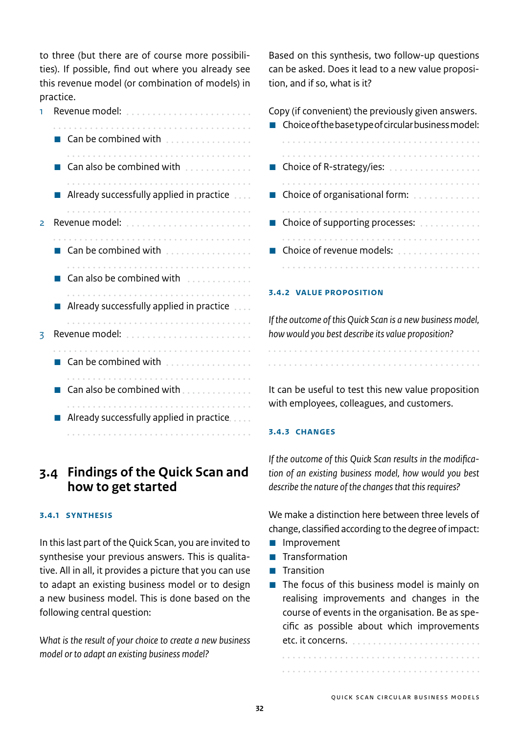<span id="page-31-0"></span>to three (but there are of course more possibilities). If possible, find out where you already see this revenue model (or combination of models) in practice.

|   | Can be combined with entitled the service of the Canada Canada and Canada Canada and Canada Canada Canada Cana          |  |  |
|---|-------------------------------------------------------------------------------------------------------------------------|--|--|
|   | Can also be combined with with and also be combined with a substantial                                                  |  |  |
|   | Already successfully applied in practice                                                                                |  |  |
| 2 | Revenue model:                                                                                                          |  |  |
|   | Can be combined with <b>container and the combined</b>                                                                  |  |  |
|   | Can also be combined with <b>containing the set of the set of the set of the set of the set of the set of the set o</b> |  |  |
|   | Already successfully applied in practice                                                                                |  |  |
| 3 |                                                                                                                         |  |  |
|   | Can be combined with                                                                                                    |  |  |
|   | Can also be combined with                                                                                               |  |  |
|   | Already successfully applied in practice                                                                                |  |  |
|   |                                                                                                                         |  |  |

## **3.4 Findings of the Quick Scan and how to get started**

## **3.4.1 Synthesis**

In this last part of the Quick Scan, you are invited to synthesise your previous answers. This is qualitative. All in all, it provides a picture that you can use to adapt an existing business model or to design a new business model. This is done based on the following central question:

*What is the result of your choice to create a new business model or to adapt an existing business model?*

Based on this synthesis, two follow-up questions can be asked. Does it lead to a new value proposition, and if so, what is it?

Copy (if convenient) the previously given answers.

■ Choice of the base type of circular business model: . . . . . . . . . . . . . . . . . ▪ Choice of R-strategy/ies: ■ Choice of organisational form: ■ Choice of supporting processes: ............. ■ Choice of revenue models: . . . . . . . . . . . . . . . . 

## **3.4.2 Value proposition**

*If the outcome of this Quick Scan is a new business model, how would you best describe its value proposition?*

It can be useful to test this new value proposition with employees, colleagues, and customers.

## **3.4.3 Changes**

 $\overline{a}$  $\overline{a}$ 

*If the outcome of this Quick Scan results in the modification of an existing business model, how would you best describe the nature of the changes that this requires?*

We make a distinction here between three levels of change, classified according to the degree of impact:

- **I** Improvement
- **Transformation**
- **Transition**
- $\blacksquare$  The focus of this business model is mainly on realising improvements and changes in the course of events in the organisation. Be as specific as possible about which improvements etc. it concerns.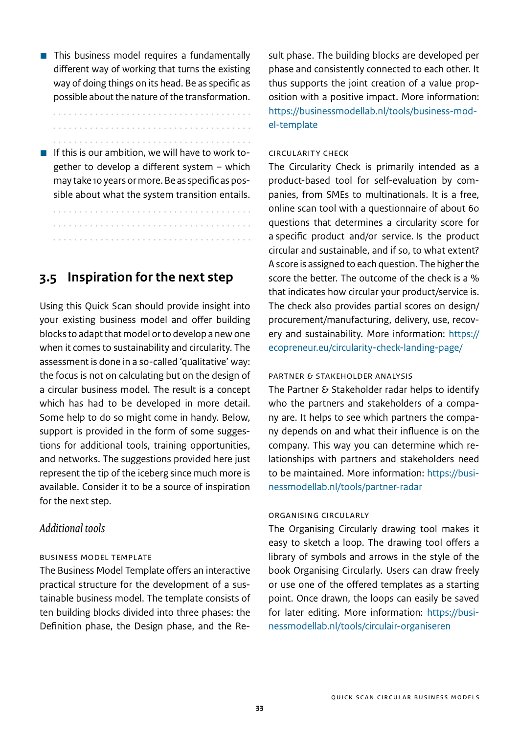<span id="page-32-0"></span> $\blacksquare$  This business model requires a fundamentally different way of working that turns the existing way of doing things on its head. Be as specific as possible about the nature of the transformation.

- 
- $\blacksquare$  If this is our ambition, we will have to work together to develop a different system – which may take 10 years or more. Be as specific as possible about what the system transition entails.

## **3.5 Inspiration for the next step**

Using this Quick Scan should provide insight into your existing business model and offer building blocks to adapt that model or to develop a new one when it comes to sustainability and circularity. The assessment is done in a so-called 'qualitative' way: the focus is not on calculating but on the design of a circular business model. The result is a concept which has had to be developed in more detail. Some help to do so might come in handy. Below, support is provided in the form of some suggestions for additional tools, training opportunities, and networks. The suggestions provided here just represent the tip of the iceberg since much more is available. Consider it to be a source of inspiration for the next step.

## *Additional tools*

## Business Model Template

The Business Model Template offers an interactive practical structure for the development of a sustainable business model. The template consists of ten building blocks divided into three phases: the Definition phase, the Design phase, and the Result phase. The building blocks are developed per phase and consistently connected to each other. It thus supports the joint creation of a value proposition with a positive impact. More information: [https://businessmodellab.nl/tools/business-mod](https://businessmodellab.nl/tools/business-model-template)[el-template](https://businessmodellab.nl/tools/business-model-template)

## Circularity Check

The Circularity Check is primarily intended as a product-based tool for self-evaluation by companies, from SMEs to multinationals. It is a free, online scan tool with a questionnaire of about 60 questions that determines a circularity score for a specific product and/or service. Is the product circular and sustainable, and if so, to what extent? A score is assigned to each question. The higher the score the better. The outcome of the check is a % that indicates how circular your product/service is. The check also provides partial scores on design/ procurement/manufacturing, delivery, use, recovery and sustainability. More information: [https://](https://ecopreneur.eu/circularity-check-landing-page/) [ecopreneur.eu/circularity-check-landing-page/](https://ecopreneur.eu/circularity-check-landing-page/)

## Partner & Stakeholder Analysis

The Partner  $\epsilon$  Stakeholder radar helps to identify who the partners and stakeholders of a company are. It helps to see which partners the company depends on and what their influence is on the company. This way you can determine which relationships with partners and stakeholders need to be maintained. More information: [https://busi](https://businessmodellab.nl/tools/partner-radar)[nessmodellab.nl/tools/partner-radar](https://businessmodellab.nl/tools/partner-radar)

## Organising Circul arly

The Organising Circularly drawing tool makes it easy to sketch a loop. The drawing tool offers a library of symbols and arrows in the style of the book Organising Circularly. Users can draw freely or use one of the offered templates as a starting point. Once drawn, the loops can easily be saved for later editing. More information: [https://busi](https://businessmodellab.nl/tools/circulair-organiseren)[nessmodellab.nl/tools/circulair-organiseren](https://businessmodellab.nl/tools/circulair-organiseren)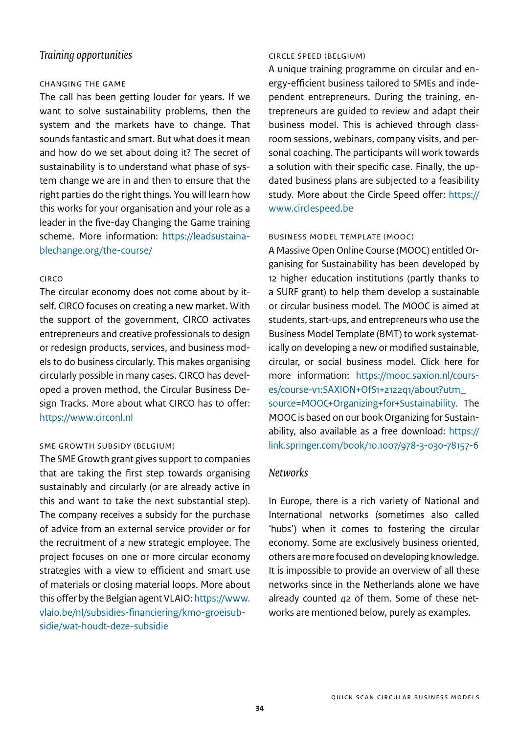## *Training opportunities*

## Changing the Game

The call has been getting louder for years. If we want to solve sustainability problems, then the system and the markets have to change. That sounds fantastic and smart. But what does it mean and how do we set about doing it? The secret of sustainability is to understand what phase of system change we are in and then to ensure that the right parties do the right things. You will learn how this works for your organisation and your role as a leader in the five-day Changing the Game training scheme. More information: [https://leadsustaina](https://leadsustainablechange.org/the-course/)[blechange.org/the-course/](https://leadsustainablechange.org/the-course/)

#### CIRCO

The circular economy does not come about by itself. CIRCO focuses on creating a new market. With the support of the government, CIRCO activates entrepreneurs and creative professionals to design or redesign products, services, and business models to do business circularly. This makes organising circularly possible in many cases. CIRCO has developed a proven method, the Circular Business Design Tracks. More about what CIRCO has to offer: <https://www.circonl.nl>

#### SME Growth subsidy (Belgium)

The SME Growth grant gives support to companies that are taking the first step towards organising sustainably and circularly (or are already active in this and want to take the next substantial step). The company receives a subsidy for the purchase of advice from an external service provider or for the recruitment of a new strategic employee. The project focuses on one or more circular economy strategies with a view to efficient and smart use of materials or closing material loops. More about this offer by the Belgian agent VLAIO: [https://www.](https://www.vlaio.be/nl/subsidies-financiering/kmo-groeisubsidie/wat-houdt-deze-subsidie) [vlaio.be/nl/subsidies-financiering/kmo-groeisub](https://www.vlaio.be/nl/subsidies-financiering/kmo-groeisubsidie/wat-houdt-deze-subsidie)[sidie/wat-houdt-deze-subsidie](https://www.vlaio.be/nl/subsidies-financiering/kmo-groeisubsidie/wat-houdt-deze-subsidie)

#### Circle Speed (Belgium)

A unique training programme on circular and energy-efficient business tailored to SMEs and independent entrepreneurs. During the training, entrepreneurs are guided to review and adapt their business model. This is achieved through classroom sessions, webinars, company visits, and personal coaching. The participants will work towards a solution with their specific case. Finally, the updated business plans are subjected to a feasibility study. More about the Circle Speed offer: [https://](https://www.circlespeed.be) [www.circlespeed.be](https://www.circlespeed.be)

## Business Model Template (MOOC)

A Massive Open Online Course (MOOC) entitled Organising for Sustainability has been developed by 12 higher education institutions (partly thanks to a SURF grant) to help them develop a sustainable or circular business model. The MOOC is aimed at students, start-ups, and entrepreneurs who use the Business Model Template (BMT) to work systematically on developing a new or modified sustainable, circular, or social business model. Click here for more information: [https://mooc.saxion.nl/cours](https://mooc.saxion.nl/courses/course-v1:SAXION+OfS1+2122q1/about?utm_source=MOOC+Organizing+for+Sustainability)[es/course-v1:SAXION+OfS1+2122q1/about?utm\\_](https://mooc.saxion.nl/courses/course-v1:SAXION+OfS1+2122q1/about?utm_source=MOOC+Organizing+for+Sustainability) [source=MOOC+Organizing+for+Sustainability.](https://mooc.saxion.nl/courses/course-v1:SAXION+OfS1+2122q1/about?utm_source=MOOC+Organizing+for+Sustainability) The MOOC is based on our book Organizing for Sustainability, also available as a free download: [https://](https://link.springer.com/book/10.1007/978-3-030-78157-6) [link.springer.com/book/10.1007/978-3-030-78157-6](https://link.springer.com/book/10.1007/978-3-030-78157-6)

## *Networks*

In Europe, there is a rich variety of National and International networks (sometimes also called 'hubs') when it comes to fostering the circular economy. Some are exclusively business oriented, others are more focused on developing knowledge. It is impossible to provide an overview of all these networks since in the Netherlands alone we have already counted 42 of them. Some of these networks are mentioned below, purely as examples.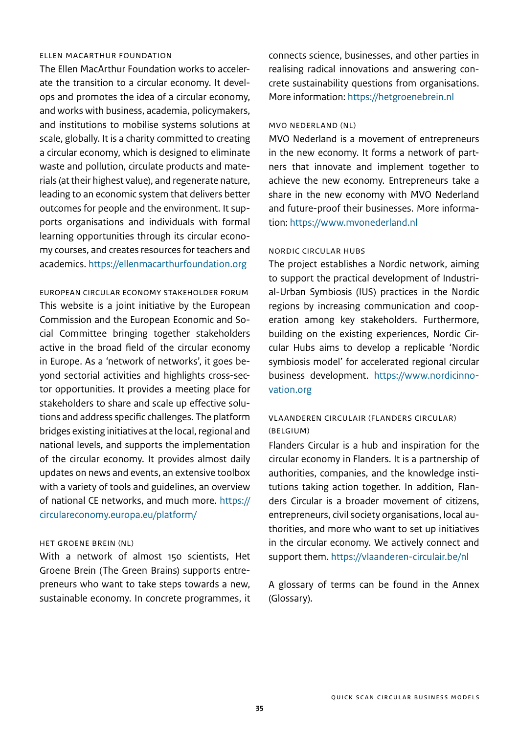#### Ellen MacArthur Foundation

The Ellen MacArthur Foundation works to accelerate the transition to a circular economy. It develops and promotes the idea of a circular economy, and works with business, academia, policymakers, and institutions to mobilise systems solutions at scale, globally. It is a charity committed to creating a circular economy, which is designed to eliminate waste and pollution, circulate products and materials (at their highest value), and regenerate nature, leading to an economic system that delivers better outcomes for people and the environment. It supports organisations and individuals with formal learning opportunities through its circular economy courses, and creates resources for teachers and academics. <https://ellenmacarthurfoundation.org>

European Circular Economy Stakeholder Forum This website is a joint initiative by the European Commission and the European Economic and Social Committee bringing together stakeholders active in the broad field of the circular economy in Europe. As a 'network of networks', it goes beyond sectorial activities and highlights cross-sector opportunities. It provides a meeting place for stakeholders to share and scale up effective solutions and address specific challenges. The platform bridges existing initiatives at the local, regional and national levels, and supports the implementation of the circular economy. It provides almost daily updates on news and events, an extensive toolbox with a variety of tools and guidelines, an overview of national CE networks, and much more. [https://](https://circulareconomy.europa.eu/platform/) [circulareconomy.europa.eu/platform/](https://circulareconomy.europa.eu/platform/)

#### Het Groene Brein (NL)

With a network of almost 150 scientists, Het Groene Brein (The Green Brains) supports entrepreneurs who want to take steps towards a new, sustainable economy. In concrete programmes, it connects science, businesses, and other parties in realising radical innovations and answering concrete sustainability questions from organisations. More information: <https://hetgroenebrein.nl>

## MVO Nederland (NL)

MVO Nederland is a movement of entrepreneurs in the new economy. It forms a network of partners that innovate and implement together to achieve the new economy. Entrepreneurs take a share in the new economy with MVO Nederland and future-proof their businesses. More information: <https://www.mvonederland.nl>

#### Nordic Circular Hubs

The project establishes a Nordic network, aiming to support the practical development of Industrial-Urban Symbiosis (IUS) practices in the Nordic regions by increasing communication and cooperation among key stakeholders. Furthermore, building on the existing experiences, Nordic Circular Hubs aims to develop a replicable 'Nordic symbiosis model' for accelerated regional circular business development. [https://www.nordicinno](https://www.nordicinnovation.org)[vation.org](https://www.nordicinnovation.org)

## Vlaanderen Circulair (Flanders Circul ar) (Belgium)

Flanders Circular is a hub and inspiration for the circular economy in Flanders. It is a partnership of authorities, companies, and the knowledge institutions taking action together. In addition, Flanders Circular is a broader movement of citizens, entrepreneurs, civil society organisations, local authorities, and more who want to set up initiatives in the circular economy. We actively connect and support them. <https://vlaanderen-circulair.be/nl>

A glossary of terms can be found in the Annex (Glossary).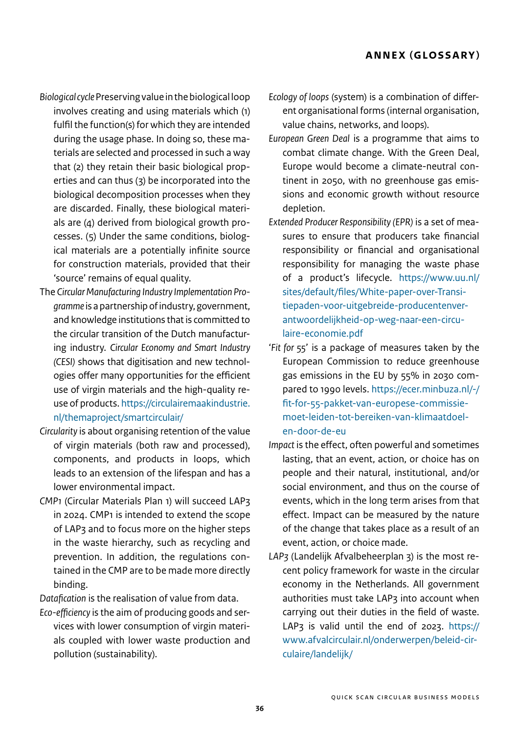- <span id="page-35-0"></span>*Biological cycle* Preserving value in the biological loop involves creating and using materials which (1) fulfil the function(s) for which they are intended during the usage phase. In doing so, these materials are selected and processed in such a way that (2) they retain their basic biological properties and can thus (3) be incorporated into the biological decomposition processes when they are discarded. Finally, these biological materials are (4) derived from biological growth processes. (5) Under the same conditions, biological materials are a potentially infinite source for construction materials, provided that their 'source' remains of equal quality.
- The *Circular Manufacturing Industry Implementation Programme* is a partnership of industry, government, and knowledge institutions that is committed to the circular transition of the Dutch manufacturing industry. *Circular Economy and Smart Industry (CESI)* shows that digitisation and new technologies offer many opportunities for the efficient use of virgin materials and the high-quality reuse of products. [https://circulairemaakindustrie.](https://circulairemaakindustrie.nl/themaproject/smartcirculair/) [nl/themaproject/smartcirculair/](https://circulairemaakindustrie.nl/themaproject/smartcirculair/)
- *Circularity* is about organising retention of the value of virgin materials (both raw and processed), components, and products in loops, which leads to an extension of the lifespan and has a lower environmental impact.
- *CMP1* (Circular Materials Plan 1) will succeed LAP3 in 2024. CMP1 is intended to extend the scope of LAP3 and to focus more on the higher steps in the waste hierarchy, such as recycling and prevention. In addition, the regulations contained in the CMP are to be made more directly binding.

*Datafication* is the realisation of value from data.

*Eco-efficiency* is the aim of producing goods and services with lower consumption of virgin materials coupled with lower waste production and pollution (sustainability).

- *Ecology of loops* (system) is a combination of different organisational forms (internal organisation, value chains, networks, and loops).
- *European Green Deal* is a programme that aims to combat climate change. With the Green Deal, Europe would become a climate-neutral continent in 2050, with no greenhouse gas emissions and economic growth without resource depletion.
- *Extended Producer Responsibility (EPR)* is a set of measures to ensure that producers take financial responsibility or financial and organisational responsibility for managing the waste phase of a product's lifecycle. [https://www.uu.nl/](https://www.uu.nl/sites/default/files/White-paper-over-Transitiepaden-voor-uitgebreide-producentenverantwoordelijkheid-op-weg-naar-een-circulaire-economie.pdf) [sites/default/files/White-paper-over-Transi](https://www.uu.nl/sites/default/files/White-paper-over-Transitiepaden-voor-uitgebreide-producentenverantwoordelijkheid-op-weg-naar-een-circulaire-economie.pdf)[tiepaden-voor-uitgebreide-producentenver](https://www.uu.nl/sites/default/files/White-paper-over-Transitiepaden-voor-uitgebreide-producentenverantwoordelijkheid-op-weg-naar-een-circulaire-economie.pdf)[antwoordelijkheid-op-weg-naar-een-circu](https://www.uu.nl/sites/default/files/White-paper-over-Transitiepaden-voor-uitgebreide-producentenverantwoordelijkheid-op-weg-naar-een-circulaire-economie.pdf)[laire-economie.pdf](https://www.uu.nl/sites/default/files/White-paper-over-Transitiepaden-voor-uitgebreide-producentenverantwoordelijkheid-op-weg-naar-een-circulaire-economie.pdf)
- '*Fit for 55*' is a package of measures taken by the European Commission to reduce greenhouse gas emissions in the EU by 55% in 2030 compared to 1990 levels. [https://ecer.minbuza.nl/-/](https://ecer.minbuza.nl/-/fit-for-55-pakket-van-europese-commissie-moet-leiden-tot-bereiken-van-klimaatdoelen-door-de-eu) [fit-for-55-pakket-van-europese-commissie](https://ecer.minbuza.nl/-/fit-for-55-pakket-van-europese-commissie-moet-leiden-tot-bereiken-van-klimaatdoelen-door-de-eu)[moet-leiden-tot-bereiken-van-klimaatdoel](https://ecer.minbuza.nl/-/fit-for-55-pakket-van-europese-commissie-moet-leiden-tot-bereiken-van-klimaatdoelen-door-de-eu)[en-door-de-eu](https://ecer.minbuza.nl/-/fit-for-55-pakket-van-europese-commissie-moet-leiden-tot-bereiken-van-klimaatdoelen-door-de-eu)
- *Impact* is the effect, often powerful and sometimes lasting, that an event, action, or choice has on people and their natural, institutional, and/or social environment, and thus on the course of events, which in the long term arises from that effect. Impact can be measured by the nature of the change that takes place as a result of an event, action, or choice made.
- *LAP3* (Landelijk Afvalbeheerplan 3) is the most recent policy framework for waste in the circular economy in the Netherlands. All government authorities must take LAP3 into account when carrying out their duties in the field of waste. LAP3 is valid until the end of 2023. [https://](https://www.afvalcirculair.nl/onderwerpen/beleid-circulaire/landelijk/) [www.afvalcirculair.nl/onderwerpen/beleid-cir](https://www.afvalcirculair.nl/onderwerpen/beleid-circulaire/landelijk/)[culaire/landelijk/](https://www.afvalcirculair.nl/onderwerpen/beleid-circulaire/landelijk/)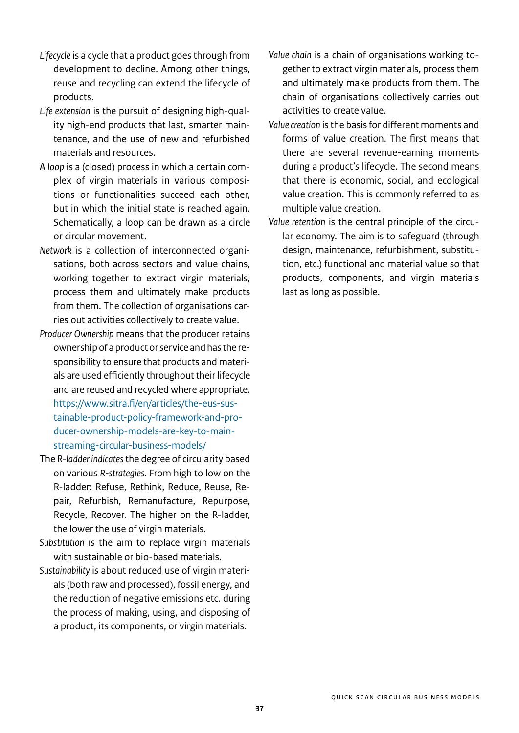- *Lifecycle* is a cycle that a product goes through from development to decline. Among other things, reuse and recycling can extend the lifecycle of products.
- *Life extension* is the pursuit of designing high-quality high-end products that last, smarter maintenance, and the use of new and refurbished materials and resources.
- A *loop* is a (closed) process in which a certain complex of virgin materials in various compositions or functionalities succeed each other, but in which the initial state is reached again. Schematically, a loop can be drawn as a circle or circular movement.
- *Network* is a collection of interconnected organisations, both across sectors and value chains, working together to extract virgin materials, process them and ultimately make products from them. The collection of organisations carries out activities collectively to create value.
- *Producer Ownership* means that the producer retains ownership of a product or service and has the responsibility to ensure that products and materials are used efficiently throughout their lifecycle and are reused and recycled where appropriate. [https://www.sitra.fi/en/articles/the-eus-sus](https://www.sitra.fi/en/articles/the-eus-sustainable-product-policy-framework-and-producer-ownership-models-are-key-to-mainstreaming-circular-business-models/)[tainable-product-policy-framework-and-pro](https://www.sitra.fi/en/articles/the-eus-sustainable-product-policy-framework-and-producer-ownership-models-are-key-to-mainstreaming-circular-business-models/)[ducer-ownership-models-are-key-to-main](https://www.sitra.fi/en/articles/the-eus-sustainable-product-policy-framework-and-producer-ownership-models-are-key-to-mainstreaming-circular-business-models/)[streaming-circular-business-models/](https://www.sitra.fi/en/articles/the-eus-sustainable-product-policy-framework-and-producer-ownership-models-are-key-to-mainstreaming-circular-business-models/)
- The *R-ladder indicates* the degree of circularity based on various *R-strategies*. From high to low on the R-ladder: Refuse, Rethink, Reduce, Reuse, Repair, Refurbish, Remanufacture, Repurpose, Recycle, Recover. The higher on the R-ladder, the lower the use of virgin materials.
- *Substitution* is the aim to replace virgin materials with sustainable or bio-based materials.
- *Sustainability* is about reduced use of virgin materials (both raw and processed), fossil energy, and the reduction of negative emissions etc. during the process of making, using, and disposing of a product, its components, or virgin materials.
- *Value chain* is a chain of organisations working together to extract virgin materials, process them and ultimately make products from them. The chain of organisations collectively carries out activities to create value.
- *Value creation* is the basis for different moments and forms of value creation. The first means that there are several revenue-earning moments during a product's lifecycle. The second means that there is economic, social, and ecological value creation. This is commonly referred to as multiple value creation.
- *Value retention* is the central principle of the circular economy. The aim is to safeguard (through design, maintenance, refurbishment, substitution, etc.) functional and material value so that products, components, and virgin materials last as long as possible.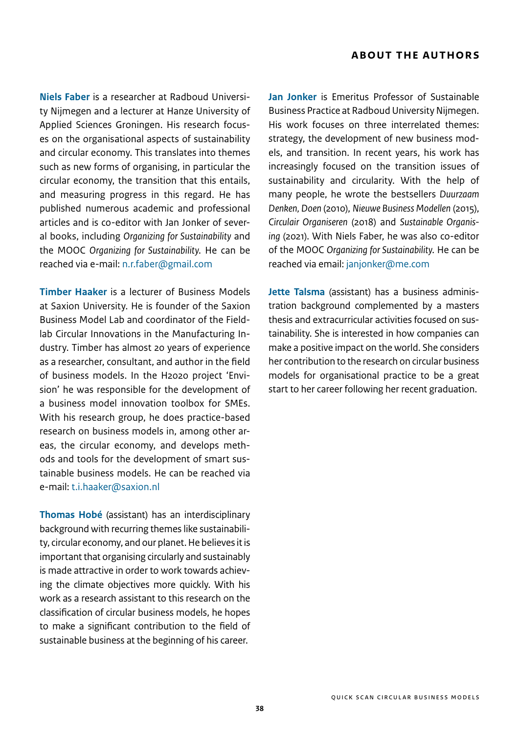<span id="page-37-0"></span>**Niels Faber** is a researcher at Radboud University Nijmegen and a lecturer at Hanze University of Applied Sciences Groningen. His research focuses on the organisational aspects of sustainability and circular economy. This translates into themes such as new forms of organising, in particular the circular economy, the transition that this entails, and measuring progress in this regard. He has published numerous academic and professional articles and is co-editor with Jan Jonker of several books, including *Organizing for Sustainability* and the MOOC *Organizing for Sustainability*. He can be reached via e-mail: [n.r.faber@gmail.com](mailto:n.r.faber%40gmail.com?subject=)

**Timber Haaker** is a lecturer of Business Models at Saxion University. He is founder of the Saxion Business Model Lab and coordinator of the Fieldlab Circular Innovations in the Manufacturing Industry. Timber has almost 20 years of experience as a researcher, consultant, and author in the field of business models. In the H2020 project 'Envision' he was responsible for the development of a business model innovation toolbox for SMEs. With his research group, he does practice-based research on business models in, among other areas, the circular economy, and develops methods and tools for the development of smart sustainable business models. He can be reached via e-mail: [t.i.haaker@saxion.nl](mailto:t.i.haaker%40saxion.nl?subject=)

**Thomas Hobé** (assistant) has an interdisciplinary background with recurring themes like sustainability, circular economy, and our planet. He believes it is important that organising circularly and sustainably is made attractive in order to work towards achieving the climate objectives more quickly. With his work as a research assistant to this research on the classification of circular business models, he hopes to make a significant contribution to the field of sustainable business at the beginning of his career.

**Jan Jonker** is Emeritus Professor of Sustainable Business Practice at Radboud University Nijmegen. His work focuses on three interrelated themes: strategy, the development of new business models, and transition. In recent years, his work has increasingly focused on the transition issues of sustainability and circularity. With the help of many people, he wrote the bestsellers *Duurzaam Denken, Doen* (2010), *Nieuwe Business Modellen* (2015), *Circulair Organiseren* (2018) and *Sustainable Organising* (2021). With Niels Faber, he was also co-editor of the MOOC *Organizing for Sustainability*. He can be reached via email: [janjonker@me.com](mailto:janjonker%40me.com?subject=)

**Jette Talsma** (assistant) has a business administration background complemented by a masters thesis and extracurricular activities focused on sustainability. She is interested in how companies can make a positive impact on the world. She considers her contribution to the research on circular business models for organisational practice to be a great start to her career following her recent graduation.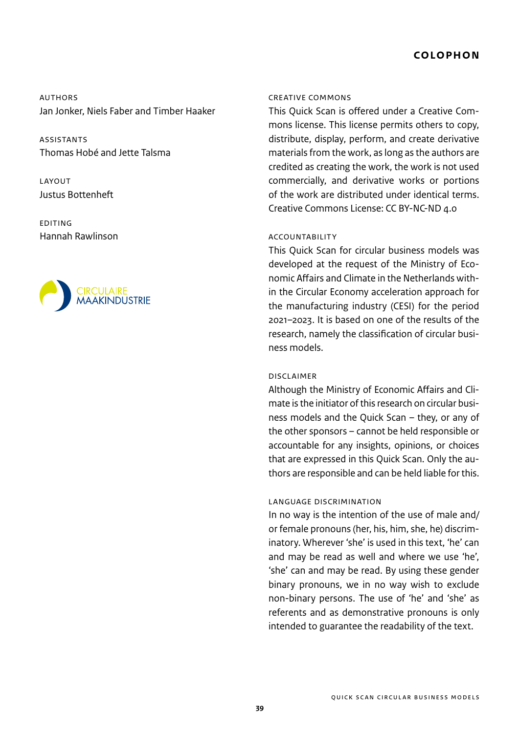<span id="page-38-0"></span>**AUTHORS** Jan Jonker, Niels Faber and Timber Haaker

**ASSISTANTS** Thomas Hobé and Jette Talsma

Layout Justus Bottenheft

Editing Hannah Rawlinson



#### Creative Commons

This Quick Scan is offered under a Creative Commons license. This license permits others to copy, distribute, display, perform, and create derivative materials from the work, as long as the authors are credited as creating the work, the work is not used commercially, and derivative works or portions of the work are distributed under identical terms. Creative Commons License: CC BY-NC-ND 4.0

#### Accountability

This Quick Scan for circular business models was developed at the request of the Ministry of Economic Affairs and Climate in the Netherlands within the Circular Economy acceleration approach for the manufacturing industry (CESI) for the period 2021–2023. It is based on one of the results of the research, namely the classification of circular business models.

#### Disclaimer

Although the Ministry of Economic Affairs and Climate is the initiator of this research on circular business models and the Quick Scan – they, or any of the other sponsors – cannot be held responsible or accountable for any insights, opinions, or choices that are expressed in this Quick Scan. Only the authors are responsible and can be held liable for this.

## Language discrimination

In no way is the intention of the use of male and/ or female pronouns (her, his, him, she, he) discriminatory. Wherever 'she' is used in this text, 'he' can and may be read as well and where we use 'he', 'she' can and may be read. By using these gender binary pronouns, we in no way wish to exclude non-binary persons. The use of 'he' and 'she' as referents and as demonstrative pronouns is only intended to guarantee the readability of the text.